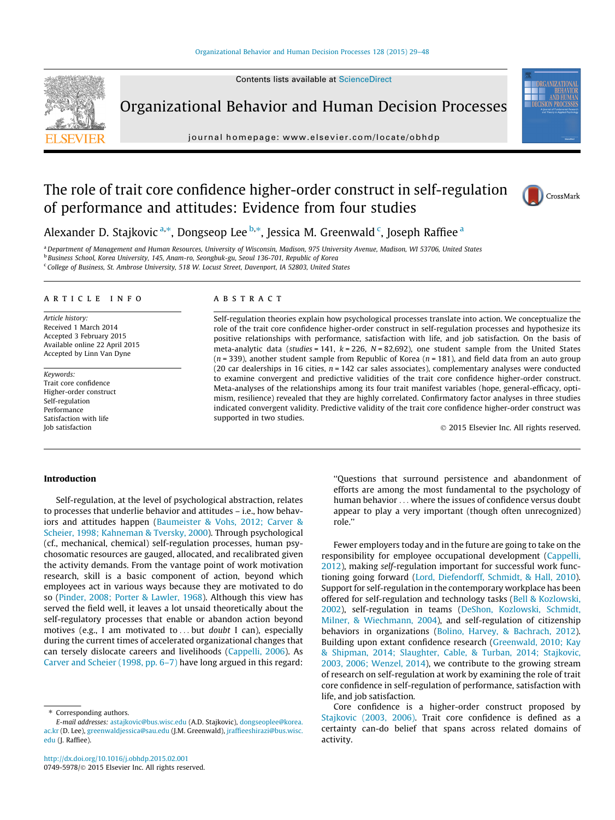Contents lists available at [ScienceDirect](http://www.sciencedirect.com/science/journal/07495978)



Organizational Behavior and Human Decision Processes

journal homepage: [www.elsevier.com/locate/obhdp](http://www.elsevier.com/locate/obhdp)

# The role of trait core confidence higher-order construct in self-regulation of performance and attitudes: Evidence from four studies



Alexander D. Stajkovic <sup>a,\*</sup>, Dongseop Lee <sup>b,\*</sup>, Jessica M. Greenwald <sup>c</sup>, Joseph Raffiee <sup>a</sup>

a Department of Management and Human Resources, University of Wisconsin, Madison, 975 University Avenue, Madison, WI 53706, United States <sup>b</sup> Business School, Korea University, 145, Anam-ro, Seongbuk-gu, Seoul 136-701, Republic of Korea <sup>c</sup> College of Business, St. Ambrose University, 518 W. Locust Street, Davenport, IA 52803, United States

### article info

Article history: Received 1 March 2014 Accepted 3 February 2015 Available online 22 April 2015 Accepted by Linn Van Dyne

Keywords: Trait core confidence Higher-order construct Self-regulation Performance Satisfaction with life Job satisfaction

# A B S T R A C T

Self-regulation theories explain how psychological processes translate into action. We conceptualize the role of the trait core confidence higher-order construct in self-regulation processes and hypothesize its positive relationships with performance, satisfaction with life, and job satisfaction. On the basis of meta-analytic data (studies = 141,  $k = 226$ ,  $N = 82,692$ ), one student sample from the United States  $(n = 339)$ , another student sample from Republic of Korea  $(n = 181)$ , and field data from an auto group (20 car dealerships in 16 cities,  $n = 142$  car sales associates), complementary analyses were conducted to examine convergent and predictive validities of the trait core confidence higher-order construct. Meta-analyses of the relationships among its four trait manifest variables (hope, general-efficacy, optimism, resilience) revealed that they are highly correlated. Confirmatory factor analyses in three studies indicated convergent validity. Predictive validity of the trait core confidence higher-order construct was supported in two studies.

- 2015 Elsevier Inc. All rights reserved.

# Introduction

Self-regulation, at the level of psychological abstraction, relates to processes that underlie behavior and attitudes – i.e., how behaviors and attitudes happen ([Baumeister & Vohs, 2012; Carver &](#page-17-0) [Scheier, 1998; Kahneman & Tversky, 2000](#page-17-0)). Through psychological (cf., mechanical, chemical) self-regulation processes, human psychosomatic resources are gauged, allocated, and recalibrated given the activity demands. From the vantage point of work motivation research, skill is a basic component of action, beyond which employees act in various ways because they are motivated to do so [\(Pinder, 2008; Porter & Lawler, 1968](#page-18-0)). Although this view has served the field well, it leaves a lot unsaid theoretically about the self-regulatory processes that enable or abandon action beyond motives (e.g., I am motivated to ... but doubt I can), especially during the current times of accelerated organizational changes that can tersely dislocate careers and livelihoods [\(Cappelli, 2006](#page-17-0)). As [Carver and Scheier \(1998, pp. 6–7\)](#page-17-0) have long argued in this regard:

''Questions that surround persistence and abandonment of efforts are among the most fundamental to the psychology of human behavior ... where the issues of confidence versus doubt appear to play a very important (though often unrecognized) role.''

Fewer employers today and in the future are going to take on the responsibility for employee occupational development [\(Cappelli,](#page-17-0) [2012](#page-17-0)), making self-regulation important for successful work functioning going forward ([Lord, Diefendorff, Schmidt, & Hall, 2010\)](#page-18-0). Support for self-regulation in the contemporary workplace has been offered for self-regulation and technology tasks [\(Bell & Kozlowski,](#page-17-0) [2002](#page-17-0)), self-regulation in teams ([DeShon, Kozlowski, Schmidt,](#page-17-0) [Milner, & Wiechmann, 2004](#page-17-0)), and self-regulation of citizenship behaviors in organizations ([Bolino, Harvey, & Bachrach, 2012\)](#page-17-0). Building upon extant confidence research ([Greenwald, 2010; Kay](#page-17-0) [& Shipman, 2014; Slaughter, Cable, & Turban, 2014; Stajkovic,](#page-17-0) [2003, 2006; Wenzel, 2014](#page-17-0)), we contribute to the growing stream of research on self-regulation at work by examining the role of trait core confidence in self-regulation of performance, satisfaction with life, and job satisfaction.

Core confidence is a higher-order construct proposed by [Stajkovic \(2003, 2006\).](#page-18-0) Trait core confidence is defined as a certainty can-do belief that spans across related domains of activity.

<sup>⇑</sup> Corresponding authors.

E-mail addresses: [astajkovic@bus.wisc.edu](mailto:astajkovic@bus.wisc.edu) (A.D. Stajkovic), [dongseoplee@korea.](mailto:dongseoplee@korea.ac.kr) [ac.kr](mailto:dongseoplee@korea.ac.kr) (D. Lee), [greenwaldjessica@sau.edu](mailto:greenwaldjessica@sau.edu) (J.M. Greenwald), [jraffieeshirazi@bus.wisc.](mailto:jraffieeshirazi@bus.wisc.edu) [edu](mailto:jraffieeshirazi@bus.wisc.edu) (J. Raffiee).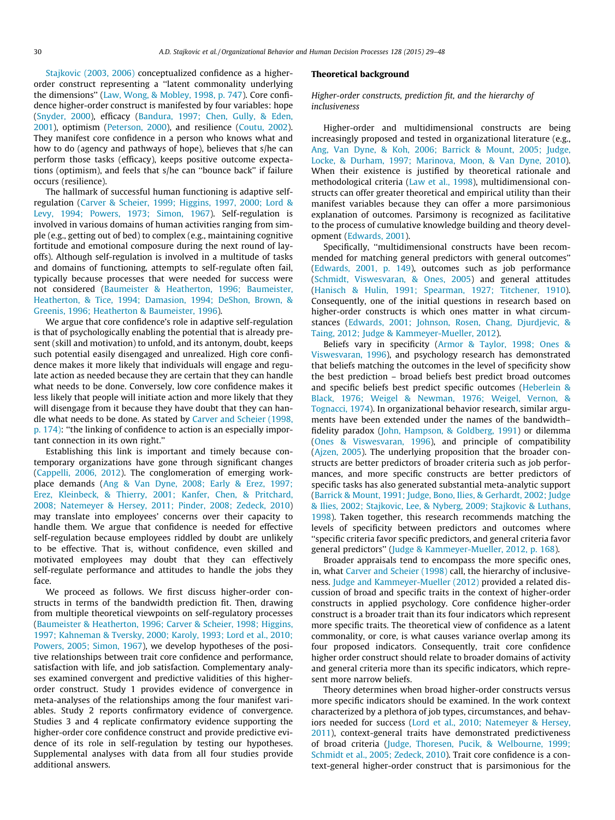[Stajkovic \(2003, 2006\)](#page-18-0) conceptualized confidence as a higherorder construct representing a ''latent commonality underlying the dimensions'' [\(Law, Wong, & Mobley, 1998, p. 747\)](#page-18-0). Core confidence higher-order construct is manifested by four variables: hope ([Snyder, 2000\)](#page-18-0), efficacy [\(Bandura, 1997; Chen, Gully, & Eden,](#page-17-0) [2001\)](#page-17-0), optimism ([Peterson, 2000](#page-18-0)), and resilience ([Coutu, 2002\)](#page-17-0). They manifest core confidence in a person who knows what and how to do (agency and pathways of hope), believes that s/he can perform those tasks (efficacy), keeps positive outcome expectations (optimism), and feels that s/he can ''bounce back'' if failure occurs (resilience).

The hallmark of successful human functioning is adaptive selfregulation [\(Carver & Scheier, 1999; Higgins, 1997, 2000; Lord &](#page-17-0) [Levy, 1994; Powers, 1973; Simon, 1967](#page-17-0)). Self-regulation is involved in various domains of human activities ranging from simple (e.g., getting out of bed) to complex (e.g., maintaining cognitive fortitude and emotional composure during the next round of layoffs). Although self-regulation is involved in a multitude of tasks and domains of functioning, attempts to self-regulate often fail, typically because processes that were needed for success were not considered [\(Baumeister & Heatherton, 1996; Baumeister,](#page-17-0) [Heatherton, & Tice, 1994; Damasion, 1994; DeShon, Brown, &](#page-17-0) [Greenis, 1996; Heatherton & Baumeister, 1996\)](#page-17-0).

We argue that core confidence's role in adaptive self-regulation is that of psychologically enabling the potential that is already present (skill and motivation) to unfold, and its antonym, doubt, keeps such potential easily disengaged and unrealized. High core confidence makes it more likely that individuals will engage and regulate action as needed because they are certain that they can handle what needs to be done. Conversely, low core confidence makes it less likely that people will initiate action and more likely that they will disengage from it because they have doubt that they can handle what needs to be done. As stated by [Carver and Scheier \(1998,](#page-17-0) [p. 174\):](#page-17-0) "the linking of confidence to action is an especially important connection in its own right.''

Establishing this link is important and timely because contemporary organizations have gone through significant changes ([Cappelli, 2006, 2012](#page-17-0)). The conglomeration of emerging workplace demands [\(Ang & Van Dyne, 2008; Early & Erez, 1997;](#page-17-0) [Erez, Kleinbeck, & Thierry, 2001; Kanfer, Chen, & Pritchard,](#page-17-0) [2008; Natemeyer & Hersey, 2011; Pinder, 2008; Zedeck, 2010\)](#page-17-0) may translate into employees' concerns over their capacity to handle them. We argue that confidence is needed for effective self-regulation because employees riddled by doubt are unlikely to be effective. That is, without confidence, even skilled and motivated employees may doubt that they can effectively self-regulate performance and attitudes to handle the jobs they face.

We proceed as follows. We first discuss higher-order constructs in terms of the bandwidth prediction fit. Then, drawing from multiple theoretical viewpoints on self-regulatory processes ([Baumeister & Heatherton, 1996; Carver & Scheier, 1998; Higgins,](#page-17-0) [1997; Kahneman & Tversky, 2000; Karoly, 1993; Lord et al., 2010;](#page-17-0) [Powers, 2005; Simon, 1967\)](#page-17-0), we develop hypotheses of the positive relationships between trait core confidence and performance, satisfaction with life, and job satisfaction. Complementary analyses examined convergent and predictive validities of this higherorder construct. Study 1 provides evidence of convergence in meta-analyses of the relationships among the four manifest variables. Study 2 reports confirmatory evidence of convergence. Studies 3 and 4 replicate confirmatory evidence supporting the higher-order core confidence construct and provide predictive evidence of its role in self-regulation by testing our hypotheses. Supplemental analyses with data from all four studies provide additional answers.

### Theoretical background

Higher-order constructs, prediction fit, and the hierarchy of inclusiveness

Higher-order and multidimensional constructs are being increasingly proposed and tested in organizational literature (e.g., [Ang, Van Dyne, & Koh, 2006; Barrick & Mount, 2005; Judge,](#page-17-0) [Locke, & Durham, 1997; Marinova, Moon, & Van Dyne, 2010\)](#page-17-0). When their existence is justified by theoretical rationale and methodological criteria [\(Law et al., 1998\)](#page-18-0), multidimensional constructs can offer greater theoretical and empirical utility than their manifest variables because they can offer a more parsimonious explanation of outcomes. Parsimony is recognized as facilitative to the process of cumulative knowledge building and theory development ([Edwards, 2001\)](#page-17-0).

Specifically, ''multidimensional constructs have been recommended for matching general predictors with general outcomes'' ([Edwards, 2001, p. 149\)](#page-17-0), outcomes such as job performance ([Schmidt, Viswesvaran, & Ones, 2005](#page-18-0)) and general attitudes ([Hanisch & Hulin, 1991; Spearman, 1927; Titchener, 1910\)](#page-17-0). Consequently, one of the initial questions in research based on higher-order constructs is which ones matter in what circumstances ([Edwards, 2001; Johnson, Rosen, Chang, Djurdjevic, &](#page-17-0) [Taing, 2012; Judge & Kammeyer-Mueller, 2012\)](#page-17-0).

Beliefs vary in specificity [\(Armor & Taylor, 1998; Ones &](#page-17-0) [Viswesvaran, 1996](#page-17-0)), and psychology research has demonstrated that beliefs matching the outcomes in the level of specificity show the best prediction – broad beliefs best predict broad outcomes and specific beliefs best predict specific outcomes [\(Heberlein &](#page-17-0) [Black, 1976; Weigel & Newman, 1976; Weigel, Vernon, &](#page-17-0) [Tognacci, 1974](#page-17-0)). In organizational behavior research, similar arguments have been extended under the names of the bandwidth– fidelity paradox [\(John, Hampson, & Goldberg, 1991](#page-17-0)) or dilemma ([Ones & Viswesvaran, 1996\)](#page-18-0), and principle of compatibility ([Ajzen, 2005](#page-17-0)). The underlying proposition that the broader constructs are better predictors of broader criteria such as job performances, and more specific constructs are better predictors of specific tasks has also generated substantial meta-analytic support ([Barrick & Mount, 1991; Judge, Bono, Ilies, & Gerhardt, 2002; Judge](#page-17-0) [& Ilies, 2002; Stajkovic, Lee, & Nyberg, 2009; Stajkovic & Luthans,](#page-17-0) [1998\)](#page-17-0). Taken together, this research recommends matching the levels of specificity between predictors and outcomes where ''specific criteria favor specific predictors, and general criteria favor general predictors'' [\(Judge & Kammeyer-Mueller, 2012, p. 168\)](#page-18-0).

Broader appraisals tend to encompass the more specific ones, in, what [Carver and Scheier \(1998\)](#page-17-0) call, the hierarchy of inclusiveness. [Judge and Kammeyer-Mueller \(2012\)](#page-18-0) provided a related discussion of broad and specific traits in the context of higher-order constructs in applied psychology. Core confidence higher-order construct is a broader trait than its four indicators which represent more specific traits. The theoretical view of confidence as a latent commonality, or core, is what causes variance overlap among its four proposed indicators. Consequently, trait core confidence higher order construct should relate to broader domains of activity and general criteria more than its specific indicators, which represent more narrow beliefs.

Theory determines when broad higher-order constructs versus more specific indicators should be examined. In the work context characterized by a plethora of job types, circumstances, and behaviors needed for success [\(Lord et al., 2010; Natemeyer & Hersey,](#page-18-0) [2011\)](#page-18-0), context-general traits have demonstrated predictiveness of broad criteria [\(Judge, Thoresen, Pucik, & Welbourne, 1999;](#page-18-0) [Schmidt et al., 2005; Zedeck, 2010\)](#page-18-0). Trait core confidence is a context-general higher-order construct that is parsimonious for the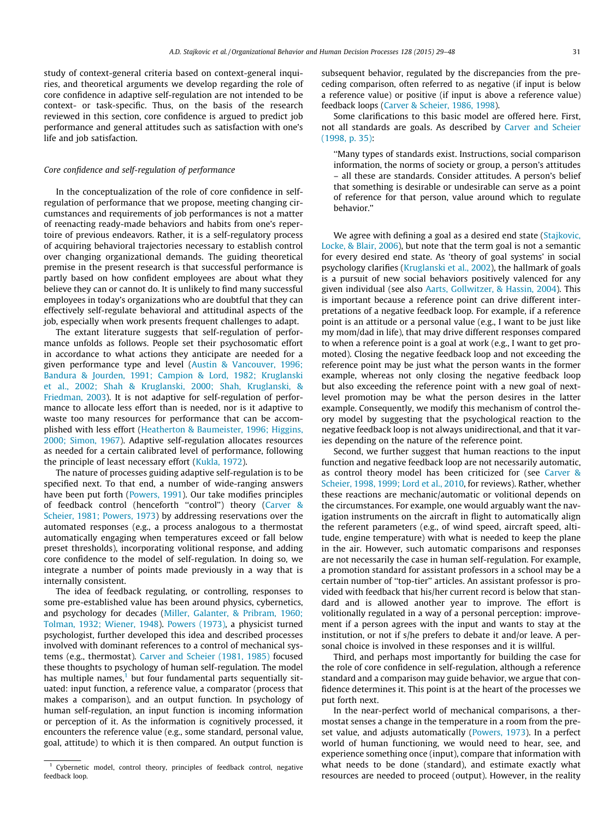study of context-general criteria based on context-general inquiries, and theoretical arguments we develop regarding the role of core confidence in adaptive self-regulation are not intended to be context- or task-specific. Thus, on the basis of the research reviewed in this section, core confidence is argued to predict job performance and general attitudes such as satisfaction with one's life and job satisfaction.

# Core confidence and self-regulation of performance

In the conceptualization of the role of core confidence in selfregulation of performance that we propose, meeting changing circumstances and requirements of job performances is not a matter of reenacting ready-made behaviors and habits from one's repertoire of previous endeavors. Rather, it is a self-regulatory process of acquiring behavioral trajectories necessary to establish control over changing organizational demands. The guiding theoretical premise in the present research is that successful performance is partly based on how confident employees are about what they believe they can or cannot do. It is unlikely to find many successful employees in today's organizations who are doubtful that they can effectively self-regulate behavioral and attitudinal aspects of the job, especially when work presents frequent challenges to adapt.

The extant literature suggests that self-regulation of performance unfolds as follows. People set their psychosomatic effort in accordance to what actions they anticipate are needed for a given performance type and level ([Austin & Vancouver, 1996;](#page-17-0) [Bandura & Jourden, 1991; Campion & Lord, 1982; Kruglanski](#page-17-0) [et al., 2002; Shah & Kruglanski, 2000; Shah, Kruglanski, &](#page-17-0) [Friedman, 2003\)](#page-17-0). It is not adaptive for self-regulation of performance to allocate less effort than is needed, nor is it adaptive to waste too many resources for performance that can be accomplished with less effort ([Heatherton & Baumeister, 1996; Higgins,](#page-17-0) [2000; Simon, 1967](#page-17-0)). Adaptive self-regulation allocates resources as needed for a certain calibrated level of performance, following the principle of least necessary effort ([Kukla, 1972\)](#page-18-0).

The nature of processes guiding adaptive self-regulation is to be specified next. To that end, a number of wide-ranging answers have been put forth [\(Powers, 1991\)](#page-18-0). Our take modifies principles of feedback control (henceforth "control") theory [\(Carver &](#page-17-0) [Scheier, 1981; Powers, 1973\)](#page-17-0) by addressing reservations over the automated responses (e.g., a process analogous to a thermostat automatically engaging when temperatures exceed or fall below preset thresholds), incorporating volitional response, and adding core confidence to the model of self-regulation. In doing so, we integrate a number of points made previously in a way that is internally consistent.

The idea of feedback regulating, or controlling, responses to some pre-established value has been around physics, cybernetics, and psychology for decades ([Miller, Galanter, & Pribram, 1960;](#page-18-0) [Tolman, 1932; Wiener, 1948\)](#page-18-0). [Powers \(1973\)](#page-18-0), a physicist turned psychologist, further developed this idea and described processes involved with dominant references to a control of mechanical systems (e.g., thermostat). [Carver and Scheier \(1981, 1985\)](#page-17-0) focused these thoughts to psychology of human self-regulation. The model has multiple names, $<sup>1</sup>$  but four fundamental parts sequentially sit-</sup> uated: input function, a reference value, a comparator (process that makes a comparison), and an output function. In psychology of human self-regulation, an input function is incoming information or perception of it. As the information is cognitively processed, it encounters the reference value (e.g., some standard, personal value, goal, attitude) to which it is then compared. An output function is

subsequent behavior, regulated by the discrepancies from the preceding comparison, often referred to as negative (if input is below a reference value) or positive (if input is above a reference value) feedback loops [\(Carver & Scheier, 1986, 1998](#page-17-0)).

Some clarifications to this basic model are offered here. First, not all standards are goals. As described by [Carver and Scheier](#page-17-0) [\(1998, p. 35\)](#page-17-0):

''Many types of standards exist. Instructions, social comparison information, the norms of society or group, a person's attitudes – all these are standards. Consider attitudes. A person's belief that something is desirable or undesirable can serve as a point of reference for that person, value around which to regulate behavior.''

We agree with defining a goal as a desired end state ([Stajkovic,](#page-18-0) [Locke, & Blair, 2006\)](#page-18-0), but note that the term goal is not a semantic for every desired end state. As 'theory of goal systems' in social psychology clarifies [\(Kruglanski et al., 2002](#page-18-0)), the hallmark of goals is a pursuit of new social behaviors positively valenced for any given individual (see also [Aarts, Gollwitzer, & Hassin, 2004\)](#page-17-0). This is important because a reference point can drive different interpretations of a negative feedback loop. For example, if a reference point is an attitude or a personal value (e.g., I want to be just like my mom/dad in life), that may drive different responses compared to when a reference point is a goal at work (e.g., I want to get promoted). Closing the negative feedback loop and not exceeding the reference point may be just what the person wants in the former example, whereas not only closing the negative feedback loop but also exceeding the reference point with a new goal of nextlevel promotion may be what the person desires in the latter example. Consequently, we modify this mechanism of control theory model by suggesting that the psychological reaction to the negative feedback loop is not always unidirectional, and that it varies depending on the nature of the reference point.

Second, we further suggest that human reactions to the input function and negative feedback loop are not necessarily automatic, as control theory model has been criticized for (see [Carver &](#page-17-0) [Scheier, 1998, 1999; Lord et al., 2010](#page-17-0), for reviews). Rather, whether these reactions are mechanic/automatic or volitional depends on the circumstances. For example, one would arguably want the navigation instruments on the aircraft in flight to automatically align the referent parameters (e.g., of wind speed, aircraft speed, altitude, engine temperature) with what is needed to keep the plane in the air. However, such automatic comparisons and responses are not necessarily the case in human self-regulation. For example, a promotion standard for assistant professors in a school may be a certain number of ''top-tier'' articles. An assistant professor is provided with feedback that his/her current record is below that standard and is allowed another year to improve. The effort is volitionally regulated in a way of a personal perception: improvement if a person agrees with the input and wants to stay at the institution, or not if s/he prefers to debate it and/or leave. A personal choice is involved in these responses and it is willful.

Third, and perhaps most importantly for building the case for the role of core confidence in self-regulation, although a reference standard and a comparison may guide behavior, we argue that confidence determines it. This point is at the heart of the processes we put forth next.

In the near-perfect world of mechanical comparisons, a thermostat senses a change in the temperature in a room from the preset value, and adjusts automatically ([Powers, 1973](#page-18-0)). In a perfect world of human functioning, we would need to hear, see, and experience something once (input), compare that information with what needs to be done (standard), and estimate exactly what resources are needed to proceed (output). However, in the reality

<sup>&</sup>lt;sup>1</sup> Cybernetic model, control theory, principles of feedback control, negative feedback loop.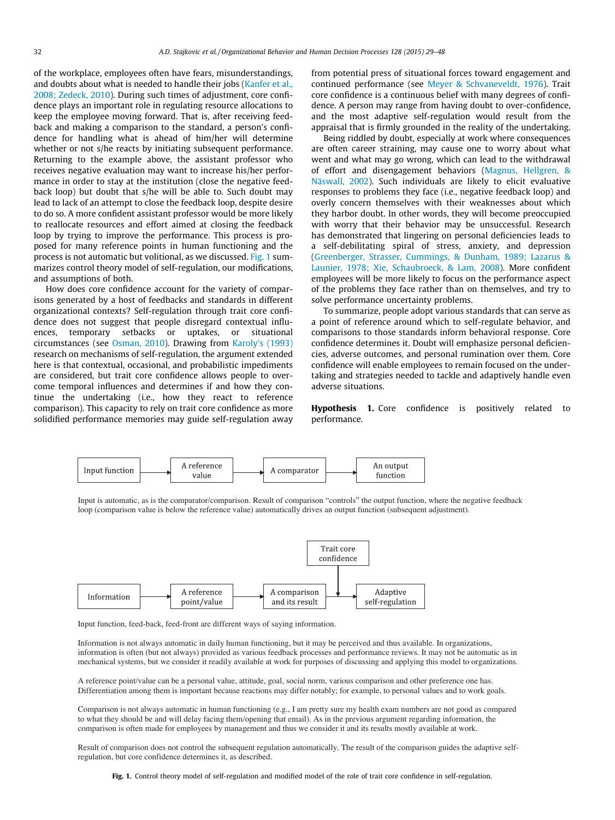<span id="page-3-0"></span>of the workplace, employees often have fears, misunderstandings, and doubts about what is needed to handle their jobs [\(Kanfer et al.,](#page-18-0) [2008; Zedeck, 2010\)](#page-18-0). During such times of adjustment, core confidence plays an important role in regulating resource allocations to keep the employee moving forward. That is, after receiving feedback and making a comparison to the standard, a person's confidence for handling what is ahead of him/her will determine whether or not s/he reacts by initiating subsequent performance. Returning to the example above, the assistant professor who receives negative evaluation may want to increase his/her performance in order to stay at the institution (close the negative feedback loop) but doubt that s/he will be able to. Such doubt may lead to lack of an attempt to close the feedback loop, despite desire to do so. A more confident assistant professor would be more likely to reallocate resources and effort aimed at closing the feedback loop by trying to improve the performance. This process is proposed for many reference points in human functioning and the process is not automatic but volitional, as we discussed. Fig. 1 summarizes control theory model of self-regulation, our modifications, and assumptions of both.

How does core confidence account for the variety of comparisons generated by a host of feedbacks and standards in different organizational contexts? Self-regulation through trait core confidence does not suggest that people disregard contextual influences, temporary setbacks or uptakes, or situational circumstances (see [Osman, 2010](#page-18-0)). Drawing from [Karoly's \(1993\)](#page-18-0) research on mechanisms of self-regulation, the argument extended here is that contextual, occasional, and probabilistic impediments are considered, but trait core confidence allows people to overcome temporal influences and determines if and how they continue the undertaking (i.e., how they react to reference comparison). This capacity to rely on trait core confidence as more solidified performance memories may guide self-regulation away from potential press of situational forces toward engagement and continued performance (see [Meyer & Schvaneveldt, 1976](#page-18-0)). Trait core confidence is a continuous belief with many degrees of confidence. A person may range from having doubt to over-confidence, and the most adaptive self-regulation would result from the appraisal that is firmly grounded in the reality of the undertaking.

Being riddled by doubt, especially at work where consequences are often career straining, may cause one to worry about what went and what may go wrong, which can lead to the withdrawal of effort and disengagement behaviors ([Magnus, Hellgren, &](#page-18-0) [Näswall, 2002](#page-18-0)). Such individuals are likely to elicit evaluative responses to problems they face (i.e., negative feedback loop) and overly concern themselves with their weaknesses about which they harbor doubt. In other words, they will become preoccupied with worry that their behavior may be unsuccessful. Research has demonstrated that lingering on personal deficiencies leads to a self-debilitating spiral of stress, anxiety, and depression ([Greenberger, Strasser, Cummings, & Dunham, 1989; Lazarus &](#page-17-0) [Launier, 1978; Xie, Schaubroeck, & Lam, 2008](#page-17-0)). More confident employees will be more likely to focus on the performance aspect of the problems they face rather than on themselves, and try to solve performance uncertainty problems.

To summarize, people adopt various standards that can serve as a point of reference around which to self-regulate behavior, and comparisons to those standards inform behavioral response. Core confidence determines it. Doubt will emphasize personal deficiencies, adverse outcomes, and personal rumination over them. Core confidence will enable employees to remain focused on the undertaking and strategies needed to tackle and adaptively handle even adverse situations.

Hypothesis 1. Core confidence is positively related to performance.



Input is automatic, as is the comparator/comparison. Result of comparison "controls" the output function, where the negative feedback loop (comparison value is below the reference value) automatically drives an output function (subsequent adjustment).



Input function, feed-back, feed-front are different ways of saying information.

Information is not always automatic in daily human functioning, but it may be perceived and thus available. In organizations, information is often (but not always) provided as various feedback processes and performance reviews. It may not be automatic as in mechanical systems, but we consider it readily available at work for purposes of discussing and applying this model to organizations.

A reference point/value can be a personal value, attitude, goal, social norm, various comparison and other preference one has. Differentiation among them is important because reactions may differ notably; for example, to personal values and to work goals.

Comparison is not always automatic in human functioning (e.g., I am pretty sure my health exam numbers are not good as compared to what they should be and will delay facing them/opening that email). As in the previous argument regarding information, the comparison is often made for employees by management and thus we consider it and its results mostly available at work.

Result of comparison does not control the subsequent regulation automatically. The result of the comparison guides the adaptive selfregulation, but core confidence determines it, as described.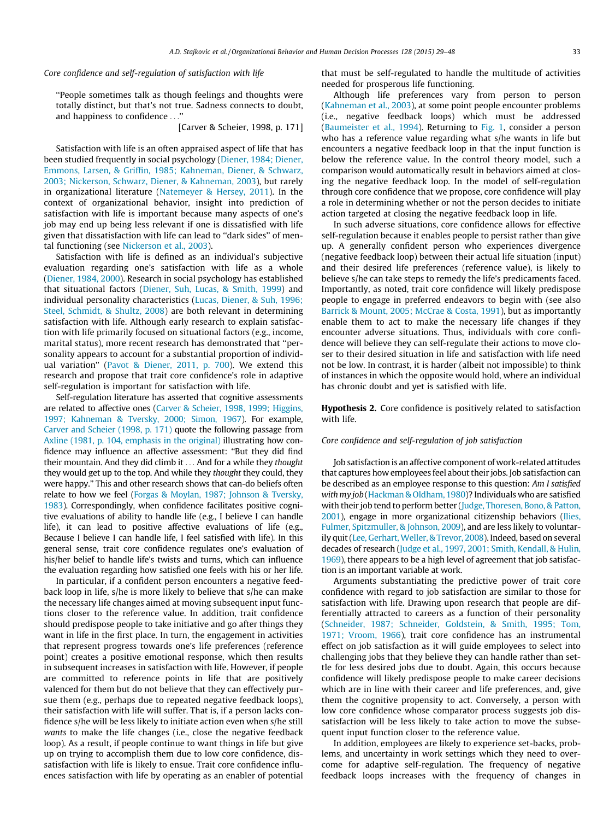### Core confidence and self-regulation of satisfaction with life

''People sometimes talk as though feelings and thoughts were totally distinct, but that's not true. Sadness connects to doubt, and happiness to confidence ...''

# [Carver & Scheier, 1998, p. 171]

Satisfaction with life is an often appraised aspect of life that has been studied frequently in social psychology ([Diener, 1984; Diener,](#page-17-0) [Emmons, Larsen, & Griffin, 1985; Kahneman, Diener, & Schwarz,](#page-17-0) [2003; Nickerson, Schwarz, Diener, & Kahneman, 2003](#page-17-0)), but rarely in organizational literature ([Natemeyer & Hersey, 2011\)](#page-18-0). In the context of organizational behavior, insight into prediction of satisfaction with life is important because many aspects of one's job may end up being less relevant if one is dissatisfied with life given that dissatisfaction with life can lead to ''dark sides'' of mental functioning (see [Nickerson et al., 2003](#page-18-0)).

Satisfaction with life is defined as an individual's subjective evaluation regarding one's satisfaction with life as a whole ([Diener, 1984, 2000](#page-17-0)). Research in social psychology has established that situational factors [\(Diener, Suh, Lucas, & Smith, 1999\)](#page-17-0) and individual personality characteristics ([Lucas, Diener, & Suh, 1996;](#page-18-0) [Steel, Schmidt, & Shultz, 2008](#page-18-0)) are both relevant in determining satisfaction with life. Although early research to explain satisfaction with life primarily focused on situational factors (e.g., income, marital status), more recent research has demonstrated that ''personality appears to account for a substantial proportion of individual variation'' ([Pavot & Diener, 2011, p. 700](#page-18-0)). We extend this research and propose that trait core confidence's role in adaptive self-regulation is important for satisfaction with life.

Self-regulation literature has asserted that cognitive assessments are related to affective ones [\(Carver & Scheier, 1998, 1999; Higgins,](#page-17-0) [1997; Kahneman & Tversky, 2000; Simon, 1967\)](#page-17-0). For example, [Carver and Scheier \(1998, p. 171\)](#page-17-0) quote the following passage from [Axline \(1981, p. 104, emphasis in the original\)](#page-17-0) illustrating how confidence may influence an affective assessment: ''But they did find their mountain. And they did climb it ... And for a while they thought they would get up to the top. And while they thought they could, they were happy.'' This and other research shows that can-do beliefs often relate to how we feel ([Forgas & Moylan, 1987; Johnson & Tversky,](#page-17-0) [1983](#page-17-0)). Correspondingly, when confidence facilitates positive cognitive evaluations of ability to handle life (e.g., I believe I can handle life), it can lead to positive affective evaluations of life (e.g., Because I believe I can handle life, I feel satisfied with life). In this general sense, trait core confidence regulates one's evaluation of his/her belief to handle life's twists and turns, which can influence the evaluation regarding how satisfied one feels with his or her life.

In particular, if a confident person encounters a negative feedback loop in life, s/he is more likely to believe that s/he can make the necessary life changes aimed at moving subsequent input functions closer to the reference value. In addition, trait confidence should predispose people to take initiative and go after things they want in life in the first place. In turn, the engagement in activities that represent progress towards one's life preferences (reference point) creates a positive emotional response, which then results in subsequent increases in satisfaction with life. However, if people are committed to reference points in life that are positively valenced for them but do not believe that they can effectively pursue them (e.g., perhaps due to repeated negative feedback loops), their satisfaction with life will suffer. That is, if a person lacks confidence s/he will be less likely to initiate action even when s/he still wants to make the life changes (i.e., close the negative feedback loop). As a result, if people continue to want things in life but give up on trying to accomplish them due to low core confidence, dissatisfaction with life is likely to ensue. Trait core confidence influences satisfaction with life by operating as an enabler of potential that must be self-regulated to handle the multitude of activities needed for prosperous life functioning.

Although life preferences vary from person to person ([Kahneman et al., 2003](#page-18-0)), at some point people encounter problems (i.e., negative feedback loops) which must be addressed ([Baumeister et al., 1994](#page-17-0)). Returning to [Fig. 1,](#page-3-0) consider a person who has a reference value regarding what s/he wants in life but encounters a negative feedback loop in that the input function is below the reference value. In the control theory model, such a comparison would automatically result in behaviors aimed at closing the negative feedback loop. In the model of self-regulation through core confidence that we propose, core confidence will play a role in determining whether or not the person decides to initiate action targeted at closing the negative feedback loop in life.

In such adverse situations, core confidence allows for effective self-regulation because it enables people to persist rather than give up. A generally confident person who experiences divergence (negative feedback loop) between their actual life situation (input) and their desired life preferences (reference value), is likely to believe s/he can take steps to remedy the life's predicaments faced. Importantly, as noted, trait core confidence will likely predispose people to engage in preferred endeavors to begin with (see also [Barrick & Mount, 2005; McCrae & Costa, 1991\)](#page-17-0), but as importantly enable them to act to make the necessary life changes if they encounter adverse situations. Thus, individuals with core confidence will believe they can self-regulate their actions to move closer to their desired situation in life and satisfaction with life need not be low. In contrast, it is harder (albeit not impossible) to think of instances in which the opposite would hold, where an individual has chronic doubt and yet is satisfied with life.

Hypothesis 2. Core confidence is positively related to satisfaction with life.

# Core confidence and self-regulation of job satisfaction

Job satisfaction is an affective component of work-related attitudes that captures how employees feel about their jobs. Job satisfaction can be described as an employee response to this question: Am I satisfied with my job ([Hackman & Oldham, 1980\)](#page-17-0)? Individuals who are satisfied with their job tend to perform better [\(Judge, Thoresen, Bono, & Patton,](#page-18-0) [2001\)](#page-18-0), engage in more organizational citizenship behaviors ([Ilies,](#page-17-0) [Fulmer, Spitzmuller, & Johnson, 2009](#page-17-0)), and are less likely to voluntarily quit (Lee, Gerhart, Weller, & Trevor, 2008). Indeed, based on several decades of research [\(Judge et al., 1997, 2001; Smith, Kendall, & Hulin,](#page-18-0) [1969](#page-18-0)), there appears to be a high level of agreement that job satisfaction is an important variable at work.

Arguments substantiating the predictive power of trait core confidence with regard to job satisfaction are similar to those for satisfaction with life. Drawing upon research that people are differentially attracted to careers as a function of their personality ([Schneider, 1987; Schneider, Goldstein, & Smith, 1995; Tom,](#page-18-0) [1971; Vroom, 1966](#page-18-0)), trait core confidence has an instrumental effect on job satisfaction as it will guide employees to select into challenging jobs that they believe they can handle rather than settle for less desired jobs due to doubt. Again, this occurs because confidence will likely predispose people to make career decisions which are in line with their career and life preferences, and, give them the cognitive propensity to act. Conversely, a person with low core confidence whose comparator process suggests job dissatisfaction will be less likely to take action to move the subsequent input function closer to the reference value.

In addition, employees are likely to experience set-backs, problems, and uncertainty in work settings which they need to overcome for adaptive self-regulation. The frequency of negative feedback loops increases with the frequency of changes in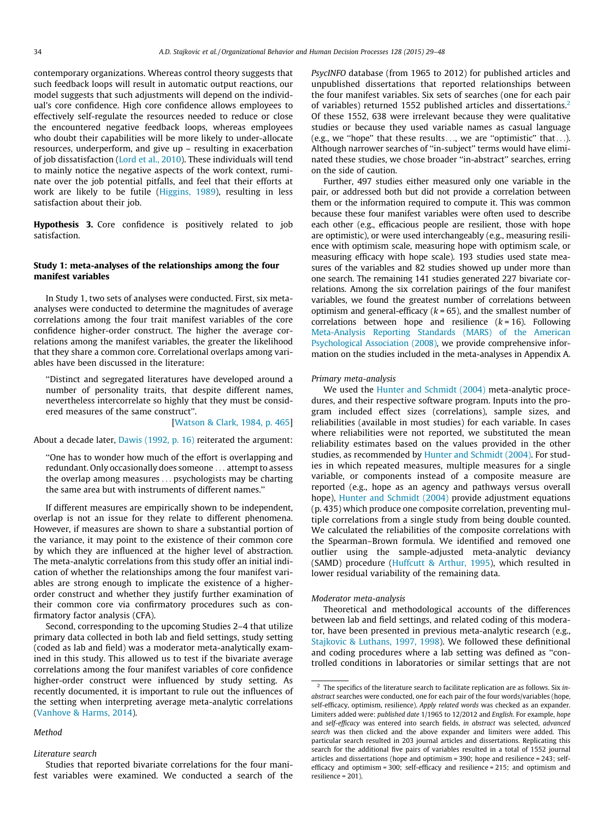contemporary organizations. Whereas control theory suggests that such feedback loops will result in automatic output reactions, our model suggests that such adjustments will depend on the individual's core confidence. High core confidence allows employees to effectively self-regulate the resources needed to reduce or close the encountered negative feedback loops, whereas employees who doubt their capabilities will be more likely to under-allocate resources, underperform, and give up – resulting in exacerbation of job dissatisfaction [\(Lord et al., 2010](#page-18-0)). These individuals will tend to mainly notice the negative aspects of the work context, ruminate over the job potential pitfalls, and feel that their efforts at work are likely to be futile [\(Higgins, 1989\)](#page-17-0), resulting in less satisfaction about their job.

Hypothesis 3. Core confidence is positively related to job satisfaction.

# Study 1: meta-analyses of the relationships among the four manifest variables

In Study 1, two sets of analyses were conducted. First, six metaanalyses were conducted to determine the magnitudes of average correlations among the four trait manifest variables of the core confidence higher-order construct. The higher the average correlations among the manifest variables, the greater the likelihood that they share a common core. Correlational overlaps among variables have been discussed in the literature:

''Distinct and segregated literatures have developed around a number of personality traits, that despite different names, nevertheless intercorrelate so highly that they must be considered measures of the same construct''.

[\[Watson & Clark, 1984, p. 465\]](#page-19-0)

About a decade later, [Dawis \(1992, p. 16\)](#page-17-0) reiterated the argument:

''One has to wonder how much of the effort is overlapping and redundant. Only occasionally does someone ... attempt to assess the overlap among measures ... psychologists may be charting the same area but with instruments of different names.''

If different measures are empirically shown to be independent, overlap is not an issue for they relate to different phenomena. However, if measures are shown to share a substantial portion of the variance, it may point to the existence of their common core by which they are influenced at the higher level of abstraction. The meta-analytic correlations from this study offer an initial indication of whether the relationships among the four manifest variables are strong enough to implicate the existence of a higherorder construct and whether they justify further examination of their common core via confirmatory procedures such as confirmatory factor analysis (CFA).

Second, corresponding to the upcoming Studies 2–4 that utilize primary data collected in both lab and field settings, study setting (coded as lab and field) was a moderator meta-analytically examined in this study. This allowed us to test if the bivariate average correlations among the four manifest variables of core confidence higher-order construct were influenced by study setting. As recently documented, it is important to rule out the influences of the setting when interpreting average meta-analytic correlations ([Vanhove & Harms, 2014](#page-19-0)).

# Method

# Literature search

Studies that reported bivariate correlations for the four manifest variables were examined. We conducted a search of the

PsycINFO database (from 1965 to 2012) for published articles and unpublished dissertations that reported relationships between the four manifest variables. Six sets of searches (one for each pair of variables) returned 1552 published articles and dissertations.<sup>2</sup> Of these 1552, 638 were irrelevant because they were qualitative studies or because they used variable names as casual language (e.g., we ''hope'' that these results ..., we are ''optimistic'' that...). Although narrower searches of ''in-subject'' terms would have eliminated these studies, we chose broader ''in-abstract'' searches, erring on the side of caution.

Further, 497 studies either measured only one variable in the pair, or addressed both but did not provide a correlation between them or the information required to compute it. This was common because these four manifest variables were often used to describe each other (e.g., efficacious people are resilient, those with hope are optimistic), or were used interchangeably (e.g., measuring resilience with optimism scale, measuring hope with optimism scale, or measuring efficacy with hope scale). 193 studies used state measures of the variables and 82 studies showed up under more than one search. The remaining 141 studies generated 227 bivariate correlations. Among the six correlation pairings of the four manifest variables, we found the greatest number of correlations between optimism and general-efficacy  $(k = 65)$ , and the smallest number of correlations between hope and resilience  $(k = 16)$ . Following [Meta-Analysis Reporting Standards \(MARS\) of the American](#page-18-0) [Psychological Association \(2008\)](#page-18-0), we provide comprehensive information on the studies included in the meta-analyses in Appendix A.

#### Primary meta-analysis

We used the [Hunter and Schmidt \(2004\)](#page-17-0) meta-analytic procedures, and their respective software program. Inputs into the program included effect sizes (correlations), sample sizes, and reliabilities (available in most studies) for each variable. In cases where reliabilities were not reported, we substituted the mean reliability estimates based on the values provided in the other studies, as recommended by [Hunter and Schmidt \(2004\)](#page-17-0). For studies in which repeated measures, multiple measures for a single variable, or components instead of a composite measure are reported (e.g., hope as an agency and pathways versus overall hope), [Hunter and Schmidt \(2004\)](#page-17-0) provide adjustment equations (p. 435) which produce one composite correlation, preventing multiple correlations from a single study from being double counted. We calculated the reliabilities of the composite correlations with the Spearman–Brown formula. We identified and removed one outlier using the sample-adjusted meta-analytic deviancy (SAMD) procedure [\(Huffcutt & Arthur, 1995\)](#page-17-0), which resulted in lower residual variability of the remaining data.

### Moderator meta-analysis

Theoretical and methodological accounts of the differences between lab and field settings, and related coding of this moderator, have been presented in previous meta-analytic research (e.g., [Stajkovic & Luthans, 1997, 1998\)](#page-18-0). We followed these definitional and coding procedures where a lab setting was defined as ''controlled conditions in laboratories or similar settings that are not

 $2$  The specifics of the literature search to facilitate replication are as follows. Six inabstract searches were conducted, one for each pair of the four words/variables (hope, self-efficacy, optimism, resilience). Apply related words was checked as an expander. Limiters added were: published date 1/1965 to 12/2012 and English. For example, hope and self-efficacy was entered into search fields, in abstract was selected, advanced search was then clicked and the above expander and limiters were added. This particular search resulted in 203 journal articles and dissertations. Replicating this search for the additional five pairs of variables resulted in a total of 1552 journal articles and dissertations (hope and optimism = 390; hope and resilience = 243; selfefficacy and optimism = 300; self-efficacy and resilience = 215; and optimism and resilience = 201).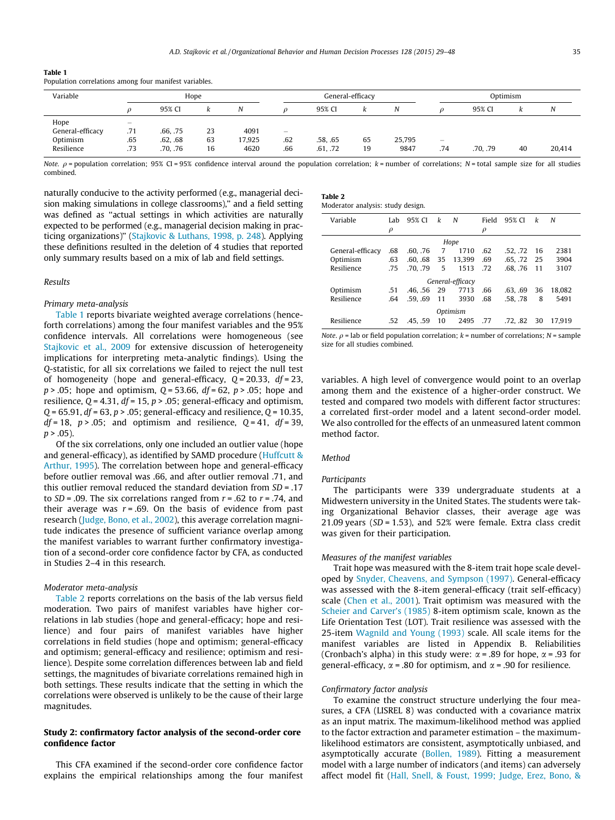|  | Population correlations among four manifest variables. |  |  |
|--|--------------------------------------------------------|--|--|
|  |                                                        |  |  |

| Variable         |     | Hope     |    |        | General-efficacy         |          |    |        |                   | Optimism |    |        |  |
|------------------|-----|----------|----|--------|--------------------------|----------|----|--------|-------------------|----------|----|--------|--|
|                  |     | 95% CI   |    | N      |                          | 95% CI   |    | Ν      |                   | 95% CI   |    |        |  |
| Hope             | -   |          |    |        |                          |          |    |        |                   |          |    |        |  |
| General-efficacy | .71 | .66, .75 | 23 | 4091   | $\overline{\phantom{m}}$ |          |    |        |                   |          |    |        |  |
| Optimism         | .65 | .62, .68 | 63 | 17,925 | .62                      | .58, .65 | 65 | 25,795 | $\qquad \qquad =$ |          |    |        |  |
| Resilience       | .73 | .70, .76 | 16 | 4620   | .66                      | .61, .72 | 19 | 9847   | .74               | .70, .79 | 40 | 20,414 |  |

Note.  $\rho$  = population correlation; 95% CI = 95% confidence interval around the population correlation; k = number of correlations; N = total sample size for all studies combined.

naturally conducive to the activity performed (e.g., managerial decision making simulations in college classrooms)," and a field setting was defined as ''actual settings in which activities are naturally expected to be performed (e.g., managerial decision making in practicing organizations)'' [\(Stajkovic & Luthans, 1998, p. 248\)](#page-18-0). Applying these definitions resulted in the deletion of 4 studies that reported only summary results based on a mix of lab and field settings.

### Results

# Primary meta-analysis

Table 1 reports bivariate weighted average correlations (henceforth correlations) among the four manifest variables and the 95% confidence intervals. All correlations were homogeneous (see [Stajkovic et al., 2009](#page-18-0) for extensive discussion of heterogeneity implications for interpreting meta-analytic findings). Using the Q-statistic, for all six correlations we failed to reject the null test of homogeneity (hope and general-efficacy,  $Q = 20.33$ ,  $df = 23$ ,  $p > .05$ ; hope and optimism, Q = 53.66,  $df = 62$ ,  $p > .05$ ; hope and resilience,  $Q = 4.31$ ,  $df = 15$ ,  $p > .05$ ; general-efficacy and optimism,  $Q = 65.91$ ,  $df = 63$ ,  $p > .05$ ; general-efficacy and resilience,  $Q = 10.35$ ,  $df = 18$ ,  $p > .05$ ; and optimism and resilience,  $Q = 41$ ,  $df = 39$ ,  $p > .05$ ).

Of the six correlations, only one included an outlier value (hope and general-efficacy), as identified by SAMD procedure [\(Huffcutt &](#page-17-0) [Arthur, 1995](#page-17-0)). The correlation between hope and general-efficacy before outlier removal was .66, and after outlier removal .71, and this outlier removal reduced the standard deviation from SD = .17 to  $SD = .09$ . The six correlations ranged from  $r = .62$  to  $r = .74$ , and their average was  $r = .69$ . On the basis of evidence from past research ([Judge, Bono, et al., 2002\)](#page-17-0), this average correlation magnitude indicates the presence of sufficient variance overlap among the manifest variables to warrant further confirmatory investigation of a second-order core confidence factor by CFA, as conducted in Studies 2–4 in this research.

### Moderator meta-analysis

Table 2 reports correlations on the basis of the lab versus field moderation. Two pairs of manifest variables have higher correlations in lab studies (hope and general-efficacy; hope and resilience) and four pairs of manifest variables have higher correlations in field studies (hope and optimism; general-efficacy and optimism; general-efficacy and resilience; optimism and resilience). Despite some correlation differences between lab and field settings, the magnitudes of bivariate correlations remained high in both settings. These results indicate that the setting in which the correlations were observed is unlikely to be the cause of their large magnitudes.

# Study 2: confirmatory factor analysis of the second-order core confidence factor

This CFA examined if the second-order core confidence factor explains the empirical relationships among the four manifest

| Table 2                           |  |  |
|-----------------------------------|--|--|
| Moderator analysis: study design. |  |  |

| Variable         | Lab    | 95% CI   | k  | N                | Field  | 95% CI      | k     | N      |  |
|------------------|--------|----------|----|------------------|--------|-------------|-------|--------|--|
|                  | $\rho$ |          |    |                  | $\rho$ |             |       |        |  |
|                  |        |          |    | Hope             |        |             |       |        |  |
| General-efficacy | .68    | .60. .76 | 7  | 1710             | .62    | .52. .72    | - 16  | 2381   |  |
| Optimism         | .63    | .60. .68 | 35 | 13.399           | .69    | .65. .72 25 |       | 3904   |  |
| Resilience       | .75    | .70.79   | 5  | 1513             | .72    | .6876       | $-11$ | 3107   |  |
|                  |        |          |    | General-efficacy |        |             |       |        |  |
| Optimism         | .51    | .46. .56 | 29 | 7713             | .66    | .63. .69    | 36    | 18.082 |  |
| Resilience       | .64    | .5969    | 11 | 3930             | .68    | .58. .78    | 8     | 5491   |  |
|                  |        |          |    | Optimism         |        |             |       |        |  |
| Resilience       | .52    | .45. .59 | 10 | 2495             | .77    | .7282       | 30    | 17.919 |  |
|                  |        |          |    |                  |        |             |       |        |  |

Note.  $\rho$  = lab or field population correlation;  $k$  = number of correlations; N = sample size for all studies combined.

variables. A high level of convergence would point to an overlap among them and the existence of a higher-order construct. We tested and compared two models with different factor structures: a correlated first-order model and a latent second-order model. We also controlled for the effects of an unmeasured latent common method factor.

# Method

#### Participants

The participants were 339 undergraduate students at a Midwestern university in the United States. The students were taking Organizational Behavior classes, their average age was 21.09 years ( $SD = 1.53$ ), and 52% were female. Extra class credit was given for their participation.

# Measures of the manifest variables

Trait hope was measured with the 8-item trait hope scale developed by [Snyder, Cheavens, and Sympson \(1997\)](#page-18-0). General-efficacy was assessed with the 8-item general-efficacy (trait self-efficacy) scale [\(Chen et al., 2001](#page-17-0)). Trait optimism was measured with the [Scheier and Carver's \(1985\)](#page-18-0) 8-item optimism scale, known as the Life Orientation Test (LOT). Trait resilience was assessed with the 25-item [Wagnild and Young \(1993\)](#page-19-0) scale. All scale items for the manifest variables are listed in Appendix B. Reliabilities (Cronbach's alpha) in this study were:  $\alpha$  = .89 for hope,  $\alpha$  = .93 for general-efficacy,  $\alpha$  = .80 for optimism, and  $\alpha$  = .90 for resilience.

### Confirmatory factor analysis

To examine the construct structure underlying the four measures, a CFA (LISREL 8) was conducted with a covariance matrix as an input matrix. The maximum-likelihood method was applied to the factor extraction and parameter estimation – the maximumlikelihood estimators are consistent, asymptotically unbiased, and asymptotically accurate [\(Bollen, 1989\)](#page-17-0). Fitting a measurement model with a large number of indicators (and items) can adversely affect model fit [\(Hall, Snell, & Foust, 1999; Judge, Erez, Bono, &](#page-17-0)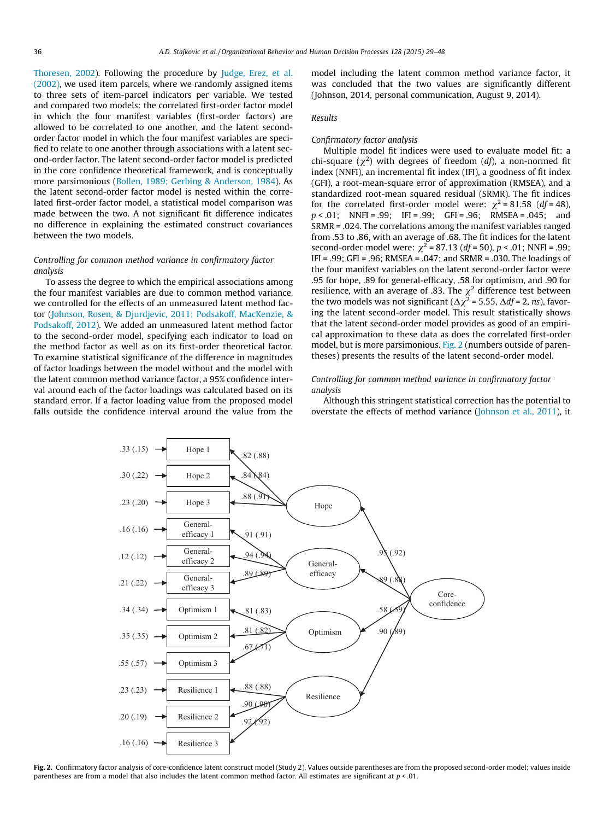<span id="page-7-0"></span>[Thoresen, 2002](#page-17-0)). Following the procedure by [Judge, Erez, et al.](#page-17-0) [\(2002\),](#page-17-0) we used item parcels, where we randomly assigned items to three sets of item-parcel indicators per variable. We tested and compared two models: the correlated first-order factor model in which the four manifest variables (first-order factors) are allowed to be correlated to one another, and the latent secondorder factor model in which the four manifest variables are specified to relate to one another through associations with a latent second-order factor. The latent second-order factor model is predicted in the core confidence theoretical framework, and is conceptually more parsimonious ([Bollen, 1989; Gerbing & Anderson, 1984\)](#page-17-0). As the latent second-order factor model is nested within the correlated first-order factor model, a statistical model comparison was made between the two. A not significant fit difference indicates no difference in explaining the estimated construct covariances between the two models.

# Controlling for common method variance in confirmatory factor analysis

To assess the degree to which the empirical associations among the four manifest variables are due to common method variance, we controlled for the effects of an unmeasured latent method factor ([Johnson, Rosen, & Djurdjevic, 2011; Podsakoff, MacKenzie, &](#page-17-0) [Podsakoff, 2012\)](#page-17-0). We added an unmeasured latent method factor to the second-order model, specifying each indicator to load on the method factor as well as on its first-order theoretical factor. To examine statistical significance of the difference in magnitudes of factor loadings between the model without and the model with the latent common method variance factor, a 95% confidence interval around each of the factor loadings was calculated based on its standard error. If a factor loading value from the proposed model falls outside the confidence interval around the value from the

model including the latent common method variance factor, it was concluded that the two values are significantly different (Johnson, 2014, personal communication, August 9, 2014).

# Results

# Confirmatory factor analysis

Multiple model fit indices were used to evaluate model fit: a chi-square  $(\chi^2)$  with degrees of freedom (df), a non-normed fit index (NNFI), an incremental fit index (IFI), a goodness of fit index (GFI), a root-mean-square error of approximation (RMSEA), and a standardized root-mean squared residual (SRMR). The fit indices for the correlated first-order model were:  $\chi^2$  = 81.58 (df = 48),  $p < .01$ ; NNFI = .99; IFI = .99; GFI = .96; RMSEA = .045; and SRMR = .024. The correlations among the manifest variables ranged from .53 to .86, with an average of .68. The fit indices for the latent second-order model were:  $\chi^2$  = 87.13 (df = 50), p < .01; NNFI = .99; IFI =  $.99$ ; GFI =  $.96$ ; RMSEA =  $.047$ ; and SRMR =  $.030$ . The loadings of the four manifest variables on the latent second-order factor were .95 for hope, .89 for general-efficacy, .58 for optimism, and .90 for resilience, with an average of .83. The  $\chi^2$  difference test between the two models was not significant ( $\Delta \chi^2$  = 5.55,  $\Delta df$  = 2, ns), favoring the latent second-order model. This result statistically shows that the latent second-order model provides as good of an empirical approximation to these data as does the correlated first-order model, but is more parsimonious. Fig. 2 (numbers outside of parentheses) presents the results of the latent second-order model.

# Controlling for common method variance in confirmatory factor analysis

Although this stringent statistical correction has the potential to overstate the effects of method variance [\(Johnson et al., 2011](#page-17-0)), it



Fig. 2. Confirmatory factor analysis of core-confidence latent construct model (Study 2). Values outside parentheses are from the proposed second-order model; values inside parentheses are from a model that also includes the latent common method factor. All estimates are significant at p < .01.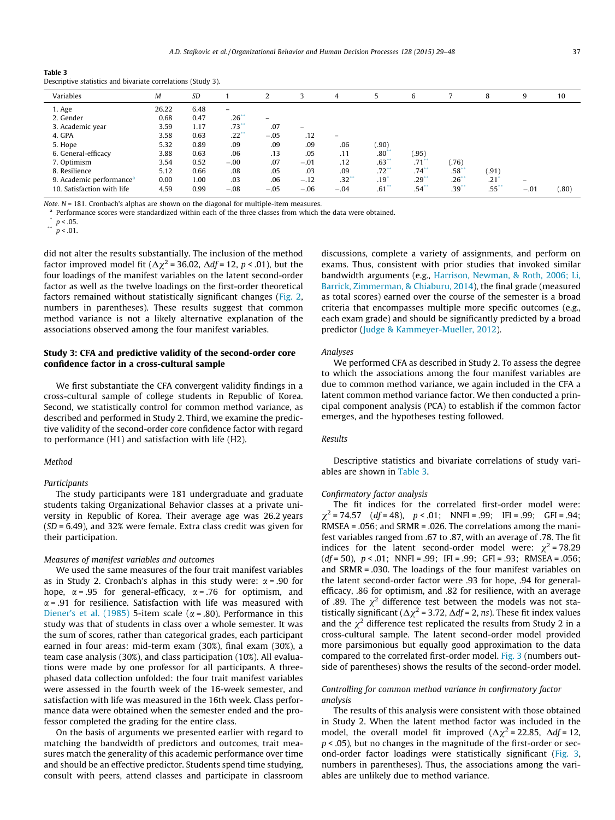## Table 3

|  |  | Descriptive statistics and bivariate correlations (Study 3). |  |  |
|--|--|--------------------------------------------------------------|--|--|
|  |  |                                                              |  |  |

| 9<br>10                             |
|-------------------------------------|
|                                     |
|                                     |
|                                     |
|                                     |
|                                     |
|                                     |
|                                     |
| (.91)                               |
| .21                                 |
| .55 <sup>°</sup><br>(.80)<br>$-.01$ |
|                                     |

Note.  $N = 181$ . Cronbach's alphas are shown on the diagonal for multiple-item measures.

<sup>a</sup> Performance scores were standardized within each of the three classes from which the data were obtained.

\*\*  $p < .01$ .

did not alter the results substantially. The inclusion of the method factor improved model fit ( $\Delta \chi^2$  = 36.02,  $\Delta df$  = 12, p < .01), but the four loadings of the manifest variables on the latent second-order factor as well as the twelve loadings on the first-order theoretical factors remained without statistically significant changes [\(Fig. 2,](#page-7-0) numbers in parentheses). These results suggest that common method variance is not a likely alternative explanation of the associations observed among the four manifest variables.

# Study 3: CFA and predictive validity of the second-order core confidence factor in a cross-cultural sample

We first substantiate the CFA convergent validity findings in a cross-cultural sample of college students in Republic of Korea. Second, we statistically control for common method variance, as described and performed in Study 2. Third, we examine the predictive validity of the second-order core confidence factor with regard to performance (H1) and satisfaction with life (H2).

#### Method

### Participants

The study participants were 181 undergraduate and graduate students taking Organizational Behavior classes at a private university in Republic of Korea. Their average age was 26.2 years (SD = 6.49), and 32% were female. Extra class credit was given for their participation.

### Measures of manifest variables and outcomes

We used the same measures of the four trait manifest variables as in Study 2. Cronbach's alphas in this study were:  $\alpha$  = .90 for hope,  $\alpha$  = .95 for general-efficacy,  $\alpha$  = .76 for optimism, and  $\alpha$  = .91 for resilience. Satisfaction with life was measured with [Diener's et al. \(1985\)](#page-17-0) 5-item scale ( $\alpha$  = .80). Performance in this study was that of students in class over a whole semester. It was the sum of scores, rather than categorical grades, each participant earned in four areas: mid-term exam (30%), final exam (30%), a team case analysis (30%), and class participation (10%). All evaluations were made by one professor for all participants. A threephased data collection unfolded: the four trait manifest variables were assessed in the fourth week of the 16-week semester, and satisfaction with life was measured in the 16th week. Class performance data were obtained when the semester ended and the professor completed the grading for the entire class.

On the basis of arguments we presented earlier with regard to matching the bandwidth of predictors and outcomes, trait measures match the generality of this academic performance over time and should be an effective predictor. Students spend time studying, consult with peers, attend classes and participate in classroom discussions, complete a variety of assignments, and perform on exams. Thus, consistent with prior studies that invoked similar bandwidth arguments (e.g., [Harrison, Newman, & Roth, 2006; Li,](#page-17-0) [Barrick, Zimmerman, & Chiaburu, 2014\)](#page-17-0), the final grade (measured as total scores) earned over the course of the semester is a broad criteria that encompasses multiple more specific outcomes (e.g., each exam grade) and should be significantly predicted by a broad predictor ([Judge & Kammeyer-Mueller, 2012](#page-18-0)).

### Analyses

We performed CFA as described in Study 2. To assess the degree to which the associations among the four manifest variables are due to common method variance, we again included in the CFA a latent common method variance factor. We then conducted a principal component analysis (PCA) to establish if the common factor emerges, and the hypotheses testing followed.

#### Results

Descriptive statistics and bivariate correlations of study variables are shown in Table 3.

# Confirmatory factor analysis

The fit indices for the correlated first-order model were:  $\chi^2$  = 74.57 (df = 48), p < .01; NNFI = .99; IFI = .99; GFI = .94; RMSEA = .056; and SRMR = .026. The correlations among the manifest variables ranged from .67 to .87, with an average of .78. The fit indices for the latent second-order model were:  $\chi^2$  = 78.29  $(df=50)$ ,  $p < .01$ ; NNFI = .99; IFI = .99; GFI = .93; RMSEA = .056; and SRMR = .030. The loadings of the four manifest variables on the latent second-order factor were .93 for hope, .94 for generalefficacy, .86 for optimism, and .82 for resilience, with an average of .89. The  $\chi^2$  difference test between the models was not statistically significant ( $\Delta \chi^2$  = 3.72,  $\Delta df$  = 2, ns). These fit index values and the  $\chi^2$  difference test replicated the results from Study 2 in a cross-cultural sample. The latent second-order model provided more parsimonious but equally good approximation to the data compared to the correlated first-order model. [Fig. 3](#page-9-0) (numbers outside of parentheses) shows the results of the second-order model.

# Controlling for common method variance in confirmatory factor analysis

The results of this analysis were consistent with those obtained in Study 2. When the latent method factor was included in the model, the overall model fit improved ( $\Delta \chi^2$  = 22.85,  $\Delta df$  = 12,  $p < .05$ ), but no changes in the magnitude of the first-order or second-order factor loadings were statistically significant ([Fig. 3,](#page-9-0) numbers in parentheses). Thus, the associations among the variables are unlikely due to method variance.

 $p < .05$ .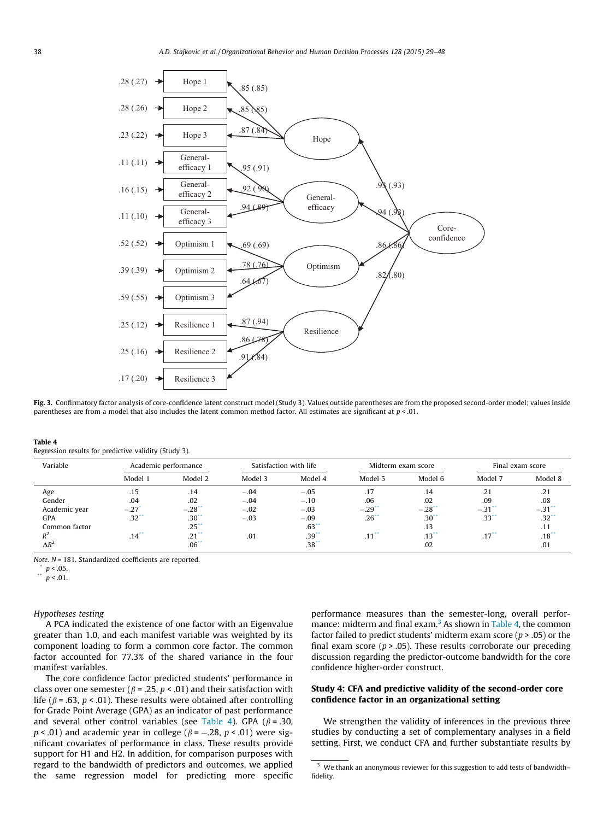<span id="page-9-0"></span>

Fig. 3. Confirmatory factor analysis of core-confidence latent construct model (Study 3). Values outside parentheses are from the proposed second-order model; values inside parentheses are from a model that also includes the latent common method factor. All estimates are significant at  $p < 01$ .

Regression results for predictive validity (Study 3).

| Variable      |                     | Academic performance |         | Satisfaction with life |                     | Midterm exam score | Final exam score |                  |
|---------------|---------------------|----------------------|---------|------------------------|---------------------|--------------------|------------------|------------------|
|               | Model 1             | Model 2              | Model 3 | Model 4                | Model 5             | Model 6            | Model 7          | Model 8          |
| Age           | .15                 | .14                  | $-.04$  | $-.05$                 | .17                 | .14                | .21              | .21              |
| Gender        | .04                 | .02                  | $-.04$  | $-.10$                 | .06                 | .02                | .09              | .08              |
| Academic year | $-.27$              | $-.28$               | $-.02$  | $-.03$                 | $-.29$              | $-.28$             | $-.31$           | $-.31$           |
| GPA           | .32                 | $.30^{\circ}$        | $-.03$  | $-.09$                 | $.26^{**}$          | .30 <sup>•</sup>   | .33"             | .32 <sup>2</sup> |
| Common factor |                     | .25                  |         | .63"                   |                     | .13                |                  | .11              |
| $R^2$         | $.14$ <sup>**</sup> | $.21$ <sup>**</sup>  | .01     | $.39$ <sup>**</sup>    | $.11$ <sup>**</sup> | $.13***$           | .17              | .18"             |
| $\Delta R^2$  |                     | $.06*$               |         | .38                    |                     | .02                |                  | .01              |

Note. N = 181. Standardized coefficients are reported.

\*\*  $p < .01$ .

#### Hypotheses testing

A PCA indicated the existence of one factor with an Eigenvalue greater than 1.0, and each manifest variable was weighted by its component loading to form a common core factor. The common factor accounted for 77.3% of the shared variance in the four manifest variables.

The core confidence factor predicted students' performance in class over one semester ( $\beta$  = .25,  $p$  < .01) and their satisfaction with life ( $\beta$  = .63,  $p < .01$ ). These results were obtained after controlling for Grade Point Average (GPA) as an indicator of past performance and several other control variables (see Table 4). GPA ( $\beta$  = .30,  $p < .01$ ) and academic year in college ( $\beta$  =  $-.28, p < .01$ ) were significant covariates of performance in class. These results provide support for H1 and H2. In addition, for comparison purposes with regard to the bandwidth of predictors and outcomes, we applied the same regression model for predicting more specific

performance measures than the semester-long, overall performance: midterm and final exam. $3$  As shown in Table 4, the common factor failed to predict students' midterm exam score ( $p > .05$ ) or the final exam score ( $p > .05$ ). These results corroborate our preceding discussion regarding the predictor-outcome bandwidth for the core confidence higher-order construct.

# Study 4: CFA and predictive validity of the second-order core confidence factor in an organizational setting

We strengthen the validity of inferences in the previous three studies by conducting a set of complementary analyses in a field setting. First, we conduct CFA and further substantiate results by

 $p < 0.05$ .

 $\frac{3}{3}$  We thank an anonymous reviewer for this suggestion to add tests of bandwidth– fidelity.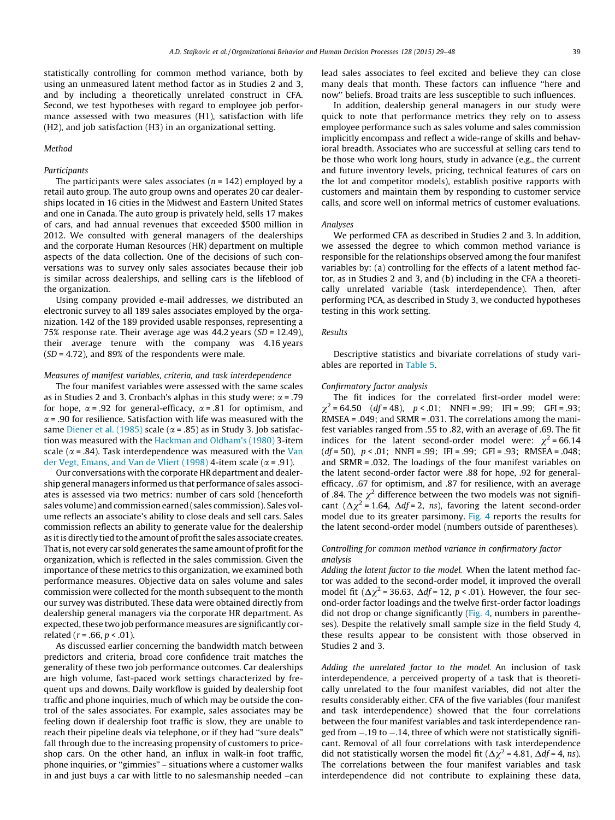statistically controlling for common method variance, both by using an unmeasured latent method factor as in Studies 2 and 3, and by including a theoretically unrelated construct in CFA. Second, we test hypotheses with regard to employee job performance assessed with two measures (H1), satisfaction with life (H2), and job satisfaction (H3) in an organizational setting.

### Method

# **Participants**

The participants were sales associates ( $n = 142$ ) employed by a retail auto group. The auto group owns and operates 20 car dealerships located in 16 cities in the Midwest and Eastern United States and one in Canada. The auto group is privately held, sells 17 makes of cars, and had annual revenues that exceeded \$500 million in 2012. We consulted with general managers of the dealerships and the corporate Human Resources (HR) department on multiple aspects of the data collection. One of the decisions of such conversations was to survey only sales associates because their job is similar across dealerships, and selling cars is the lifeblood of the organization.

Using company provided e-mail addresses, we distributed an electronic survey to all 189 sales associates employed by the organization. 142 of the 189 provided usable responses, representing a 75% response rate. Their average age was 44.2 years (SD = 12.49), their average tenure with the company was 4.16 years  $(SD = 4.72)$ , and 89% of the respondents were male.

# Measures of manifest variables, criteria, and task interdependence

The four manifest variables were assessed with the same scales as in Studies 2 and 3. Cronbach's alphas in this study were:  $\alpha$  = .79 for hope,  $\alpha$  = .92 for general-efficacy,  $\alpha$  = .81 for optimism, and  $\alpha$  = .90 for resilience. Satisfaction with life was measured with the same [Diener et al. \(1985\)](#page-17-0) scale ( $\alpha$  = .85) as in Study 3. Job satisfaction was measured with the [Hackman and Oldham's \(1980\)](#page-17-0) 3-item scale ( $\alpha$  = .84). Task interdependence was measured with the [Van](#page-19-0) [der Vegt, Emans, and Van de Vliert \(1998\)](#page-19-0) 4-item scale ( $\alpha$  = .91).

Our conversations with the corporate HR department and dealership general managers informed us that performance of sales associates is assessed via two metrics: number of cars sold (henceforth sales volume) and commission earned (sales commission). Sales volume reflects an associate's ability to close deals and sell cars. Sales commission reflects an ability to generate value for the dealership as it is directly tied to the amount of profit the sales associate creates. That is, not every car sold generates the same amount of profit for the organization, which is reflected in the sales commission. Given the importance of these metrics to this organization, we examined both performance measures. Objective data on sales volume and sales commission were collected for the month subsequent to the month our survey was distributed. These data were obtained directly from dealership general managers via the corporate HR department. As expected, these two job performance measures are significantly correlated ( $r = .66$ ,  $p < .01$ ).

As discussed earlier concerning the bandwidth match between predictors and criteria, broad core confidence trait matches the generality of these two job performance outcomes. Car dealerships are high volume, fast-paced work settings characterized by frequent ups and downs. Daily workflow is guided by dealership foot traffic and phone inquiries, much of which may be outside the control of the sales associates. For example, sales associates may be feeling down if dealership foot traffic is slow, they are unable to reach their pipeline deals via telephone, or if they had ''sure deals'' fall through due to the increasing propensity of customers to priceshop cars. On the other hand, an influx in walk-in foot traffic, phone inquiries, or ''gimmies'' – situations where a customer walks in and just buys a car with little to no salesmanship needed –can lead sales associates to feel excited and believe they can close many deals that month. These factors can influence ''here and now'' beliefs. Broad traits are less susceptible to such influences.

In addition, dealership general managers in our study were quick to note that performance metrics they rely on to assess employee performance such as sales volume and sales commission implicitly encompass and reflect a wide-range of skills and behavioral breadth. Associates who are successful at selling cars tend to be those who work long hours, study in advance (e.g., the current and future inventory levels, pricing, technical features of cars on the lot and competitor models), establish positive rapports with customers and maintain them by responding to customer service calls, and score well on informal metrics of customer evaluations.

### Analyses

We performed CFA as described in Studies 2 and 3. In addition, we assessed the degree to which common method variance is responsible for the relationships observed among the four manifest variables by: (a) controlling for the effects of a latent method factor, as in Studies 2 and 3, and (b) including in the CFA a theoretically unrelated variable (task interdependence). Then, after performing PCA, as described in Study 3, we conducted hypotheses testing in this work setting.

#### Results

Descriptive statistics and bivariate correlations of study variables are reported in [Table 5](#page-11-0).

#### Confirmatory factor analysis

The fit indices for the correlated first-order model were:  $\chi^2$  = 64.50 (df = 48), p < .01; NNFI = .99; IFI = .99; GFI = .93; RMSEA = .049; and SRMR = .031. The correlations among the manifest variables ranged from .55 to .82, with an average of .69. The fit indices for the latent second-order model were:  $\chi^2$  = 66.14  $(df = 50)$ ,  $p < .01$ ; NNFI = .99; IFI = .99; GFI = .93; RMSEA = .048; and SRMR = .032. The loadings of the four manifest variables on the latent second-order factor were .88 for hope, .92 for generalefficacy, .67 for optimism, and .87 for resilience, with an average of .84. The  $\chi^2$  difference between the two models was not significant ( $\Delta \chi^2$  = 1.64,  $\Delta df$  = 2, ns), favoring the latent second-order model due to its greater parsimony. [Fig. 4](#page-11-0) reports the results for the latent second-order model (numbers outside of parentheses).

# Controlling for common method variance in confirmatory factor analysis

Adding the latent factor to the model. When the latent method factor was added to the second-order model, it improved the overall model fit ( $\Delta \chi^2$  = 36.63,  $\Delta df$  = 12, p < .01). However, the four second-order factor loadings and the twelve first-order factor loadings did not drop or change significantly [\(Fig. 4,](#page-11-0) numbers in parentheses). Despite the relatively small sample size in the field Study 4, these results appear to be consistent with those observed in Studies 2 and 3.

Adding the unrelated factor to the model. An inclusion of task interdependence, a perceived property of a task that is theoretically unrelated to the four manifest variables, did not alter the results considerably either. CFA of the five variables (four manifest and task interdependence) showed that the four correlations between the four manifest variables and task interdependence ranged from -.19 to -.14, three of which were not statistically significant. Removal of all four correlations with task interdependence did not statistically worsen the model fit ( $\Delta \chi^2$  = 4.81,  $\Delta df$  = 4, ns). The correlations between the four manifest variables and task interdependence did not contribute to explaining these data,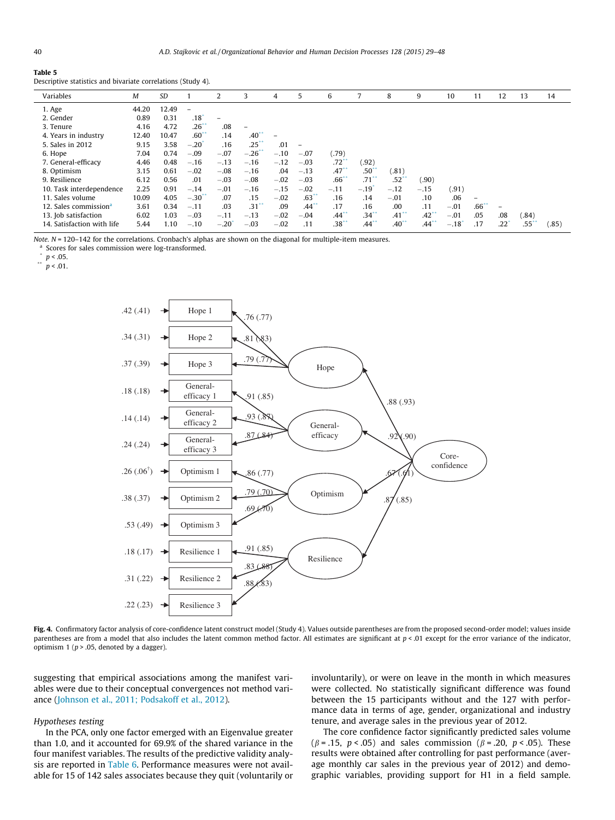#### <span id="page-11-0"></span>Table 5

Descriptive statistics and bivariate correlations (Study 4).

| Variables                         | М     | SD    |                          |        | κ       | 4      | 5                          | 6                   |                     | 8                   | 9                   | 10     | 11  | 12            | 13               | 14    |
|-----------------------------------|-------|-------|--------------------------|--------|---------|--------|----------------------------|---------------------|---------------------|---------------------|---------------------|--------|-----|---------------|------------------|-------|
| 1. Age                            | 44.20 | 12.49 | $\overline{\phantom{0}}$ |        |         |        |                            |                     |                     |                     |                     |        |     |               |                  |       |
| 2. Gender                         | 0.89  | 0.31  | .18                      | -      |         |        |                            |                     |                     |                     |                     |        |     |               |                  |       |
| 3. Tenure                         | 4.16  | 4.72  | $.26***$                 | .08    |         |        |                            |                     |                     |                     |                     |        |     |               |                  |       |
| 4. Years in industry              | 12.40 | 10.47 | $.60**$                  | .14    | .40     |        |                            |                     |                     |                     |                     |        |     |               |                  |       |
| 5. Sales in 2012                  | 9.15  | 3.58  | $-.20$                   | .16    | .25     | .01    | $\overline{\phantom{m}}$   |                     |                     |                     |                     |        |     |               |                  |       |
| 6. Hope                           | 7.04  | 0.74  | $-.09$                   | $-.07$ | $-.26"$ | $-.10$ | $-.07$                     | (.79)               |                     |                     |                     |        |     |               |                  |       |
| 7. General-efficacy               | 4.46  | 0.48  | $-.16$                   | $-.13$ | $-.16$  | $-.12$ | $-.03$                     | $.72$ $*$           | (.92)               |                     |                     |        |     |               |                  |       |
| 8. Optimism                       | 3.15  | 0.61  | $-.02$                   | $-.08$ | $-.16$  | .04    | $-.13$                     | $.47**$             | .50 <sup>°</sup>    | (.81)               |                     |        |     |               |                  |       |
| 9. Resilience                     | 6.12  | 0.56  | .01                      | $-.03$ | $-.08$  | $-.02$ | $-.03$                     | $.66***$            | $.71$ **            | $.52$ <sup>**</sup> | (.90)               |        |     |               |                  |       |
| 10. Task interdependence          | 2.25  | 0.91  | $-.14$                   | $-.01$ | $-.16$  | $-.15$ | $-.02$                     | $-.11$              | $-.19"$             | $-.12$              | $-.15$              | (.91)  |     |               |                  |       |
| 11. Sales volume                  | 10.09 | 4.05  | $-.30'$                  | .07    | .15     | $-.02$ | $.63$ $\ddot{\phantom{1}}$ | .16                 | .14                 | $-.01$              | .10                 | .06    |     |               |                  |       |
| 12. Sales commission <sup>a</sup> | 3.61  | 0.34  | $-.11$                   | .03    | $.31**$ | .09    | $.44$ <sup>**</sup>        | .17                 | .16                 | .00                 | .11                 | $-.01$ | .66 | $\equiv$      |                  |       |
| 13. Job satisfaction              | 6.02  | 1.03  | $-.03$                   | $-.11$ | $-.13$  | $-.02$ | $-.04$                     | $.44$ <sup>**</sup> | $.34$ <sup>**</sup> | $.41$ <sup>**</sup> | $.42$ <sup>**</sup> | $-.01$ | .05 | .08           | (.84)            |       |
| 14. Satisfaction with life        | 5.44  | 1.10  | $-.10$                   | $-.20$ | $-.03$  | $-.02$ | .11                        | .38                 | .44                 | $.40$ <sup>**</sup> | .44                 | $-.18$ | .17 | $.22^{\circ}$ | .55 <sup>7</sup> | (.85) |

Note. N = 120-142 for the correlations. Cronbach's alphas are shown on the diagonal for multiple-item measures.

<sup>a</sup> Scores for sales commission were log-transformed.

 $p < .05$ .

\*\*  $p^P$  < .01.



Fig. 4. Confirmatory factor analysis of core-confidence latent construct model (Study 4). Values outside parentheses are from the proposed second-order model; values inside parentheses are from a model that also includes the latent common method factor. All estimates are significant at  $p < 01$  except for the error variance of the indicator, optimism 1 ( $p > .05$ , denoted by a dagger).

suggesting that empirical associations among the manifest variables were due to their conceptual convergences not method variance ([Johnson et al., 2011; Podsakoff et al., 2012\)](#page-17-0).

# Hypotheses testing

In the PCA, only one factor emerged with an Eigenvalue greater than 1.0, and it accounted for 69.9% of the shared variance in the four manifest variables. The results of the predictive validity analysis are reported in [Table 6](#page-12-0). Performance measures were not available for 15 of 142 sales associates because they quit (voluntarily or involuntarily), or were on leave in the month in which measures were collected. No statistically significant difference was found between the 15 participants without and the 127 with performance data in terms of age, gender, organizational and industry tenure, and average sales in the previous year of 2012.

The core confidence factor significantly predicted sales volume ( $\beta$  = .15,  $p$  < .05) and sales commission ( $\beta$  = .20,  $p$  < .05). These results were obtained after controlling for past performance (average monthly car sales in the previous year of 2012) and demographic variables, providing support for H1 in a field sample.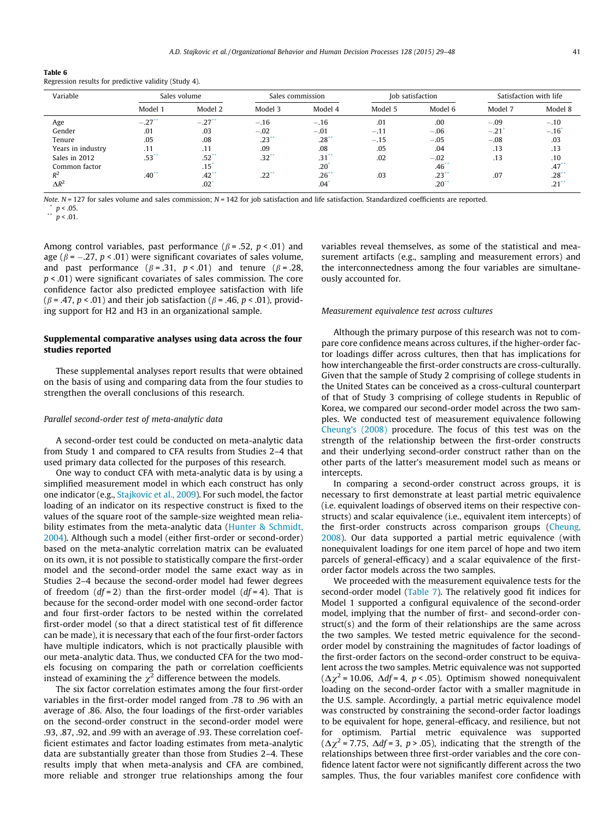<span id="page-12-0"></span>

|--|

|  | Regression results for predictive validity (Study 4). |  |
|--|-------------------------------------------------------|--|
|  |                                                       |  |

| Variable          | Sales volume |                     | Sales commission    |                     |         | Job satisfaction | Satisfaction with life |          |
|-------------------|--------------|---------------------|---------------------|---------------------|---------|------------------|------------------------|----------|
|                   | Model 1      | Model 2             | Model 3             | Model 4             | Model 5 | Model 6          | Model 7                | Model 8  |
| Age               | $-.27$ **    | $-.27$              | $-.16$              | $-.16$              | .01     | .00              | $-.09$                 | $-.10$   |
| Gender            | .01          | .03                 | $-.02$              | $-.01$              | $-.11$  | $-.06$           | $-.21$                 | $-.16"$  |
| Tenure            | .05          | .08                 | $.23$ **            | .28                 | $-.15$  | $-.05$           | $-.08$                 | .03      |
| Years in industry | .11          | .11                 | .09                 | .08                 | .05     | .04              | .13                    | .13      |
| Sales in 2012     | $.53$ **     | $.52$ <sup>**</sup> | $.32$ <sup>**</sup> | $.31$ <sup>**</sup> | .02     | $-.02$           | .13                    | .10      |
| Common factor     |              | .15                 |                     | .20                 |         | .46              |                        | .47      |
| $R^2$             | $.40**$      | .42                 | $.22$ **            | $.26$ $*$           | .03     | $.23***$         | .07                    | .28"     |
| $\Delta R^2$      |              | .02                 |                     | .04                 |         | .20              |                        | $.21$ ** |

Note.  $N = 127$  for sales volume and sales commission;  $N = 142$  for job satisfaction and life satisfaction. Standardized coefficients are reported.

 $p < .05$ .

\*\*  $p < .01$ .

Among control variables, past performance ( $\beta$  = .52, p < .01) and age ( $\beta$  = –.27,  $p$  < .01) were significant covariates of sales volume, and past performance ( $\beta$  = .31,  $p$  < .01) and tenure ( $\beta$  = .28,  $p < .01$ ) were significant covariates of sales commission. The core confidence factor also predicted employee satisfaction with life ( $\beta$  = .47,  $p$  < .01) and their job satisfaction ( $\beta$  = .46,  $p$  < .01), providing support for H2 and H3 in an organizational sample.

# Supplemental comparative analyses using data across the four studies reported

These supplemental analyses report results that were obtained on the basis of using and comparing data from the four studies to strengthen the overall conclusions of this research.

# Parallel second-order test of meta-analytic data

A second-order test could be conducted on meta-analytic data from Study 1 and compared to CFA results from Studies 2–4 that used primary data collected for the purposes of this research.

One way to conduct CFA with meta-analytic data is by using a simplified measurement model in which each construct has only one indicator (e.g., [Stajkovic et al., 2009\)](#page-18-0). For such model, the factor loading of an indicator on its respective construct is fixed to the values of the square root of the sample-size weighted mean relia-bility estimates from the meta-analytic data [\(Hunter & Schmidt,](#page-17-0) [2004](#page-17-0)). Although such a model (either first-order or second-order) based on the meta-analytic correlation matrix can be evaluated on its own, it is not possible to statistically compare the first-order model and the second-order model the same exact way as in Studies 2–4 because the second-order model had fewer degrees of freedom  $(df = 2)$  than the first-order model  $(df = 4)$ . That is because for the second-order model with one second-order factor and four first-order factors to be nested within the correlated first-order model (so that a direct statistical test of fit difference can be made), it is necessary that each of the four first-order factors have multiple indicators, which is not practically plausible with our meta-analytic data. Thus, we conducted CFA for the two models focusing on comparing the path or correlation coefficients instead of examining the  $\chi^2$  difference between the models.

The six factor correlation estimates among the four first-order variables in the first-order model ranged from .78 to .96 with an average of .86. Also, the four loadings of the first-order variables on the second-order construct in the second-order model were .93, .87, .92, and .99 with an average of .93. These correlation coefficient estimates and factor loading estimates from meta-analytic data are substantially greater than those from Studies 2–4. These results imply that when meta-analysis and CFA are combined, more reliable and stronger true relationships among the four variables reveal themselves, as some of the statistical and measurement artifacts (e.g., sampling and measurement errors) and the interconnectedness among the four variables are simultaneously accounted for.

# Measurement equivalence test across cultures

Although the primary purpose of this research was not to compare core confidence means across cultures, if the higher-order factor loadings differ across cultures, then that has implications for how interchangeable the first-order constructs are cross-culturally. Given that the sample of Study 2 comprising of college students in the United States can be conceived as a cross-cultural counterpart of that of Study 3 comprising of college students in Republic of Korea, we compared our second-order model across the two samples. We conducted test of measurement equivalence following [Cheung's \(2008\)](#page-17-0) procedure. The focus of this test was on the strength of the relationship between the first-order constructs and their underlying second-order construct rather than on the other parts of the latter's measurement model such as means or intercepts.

In comparing a second-order construct across groups, it is necessary to first demonstrate at least partial metric equivalence (i.e. equivalent loadings of observed items on their respective constructs) and scalar equivalence (i.e., equivalent item intercepts) of the first-order constructs across comparison groups [\(Cheung,](#page-17-0) [2008](#page-17-0)). Our data supported a partial metric equivalence (with nonequivalent loadings for one item parcel of hope and two item parcels of general-efficacy) and a scalar equivalence of the firstorder factor models across the two samples.

We proceeded with the measurement equivalence tests for the second-order model [\(Table 7\)](#page-13-0). The relatively good fit indices for Model 1 supported a configural equivalence of the second-order model, implying that the number of first- and second-order construct(s) and the form of their relationships are the same across the two samples. We tested metric equivalence for the secondorder model by constraining the magnitudes of factor loadings of the first-order factors on the second-order construct to be equivalent across the two samples. Metric equivalence was not supported  $(\Delta \chi^2 = 10.06, \Delta df = 4, p < .05)$ . Optimism showed nonequivalent loading on the second-order factor with a smaller magnitude in the U.S. sample. Accordingly, a partial metric equivalence model was constructed by constraining the second-order factor loadings to be equivalent for hope, general-efficacy, and resilience, but not for optimism. Partial metric equivalence was supported  $(\Delta \chi^2$  = 7.75,  $\Delta df$  = 3, p > .05), indicating that the strength of the relationships between three first-order variables and the core confidence latent factor were not significantly different across the two samples. Thus, the four variables manifest core confidence with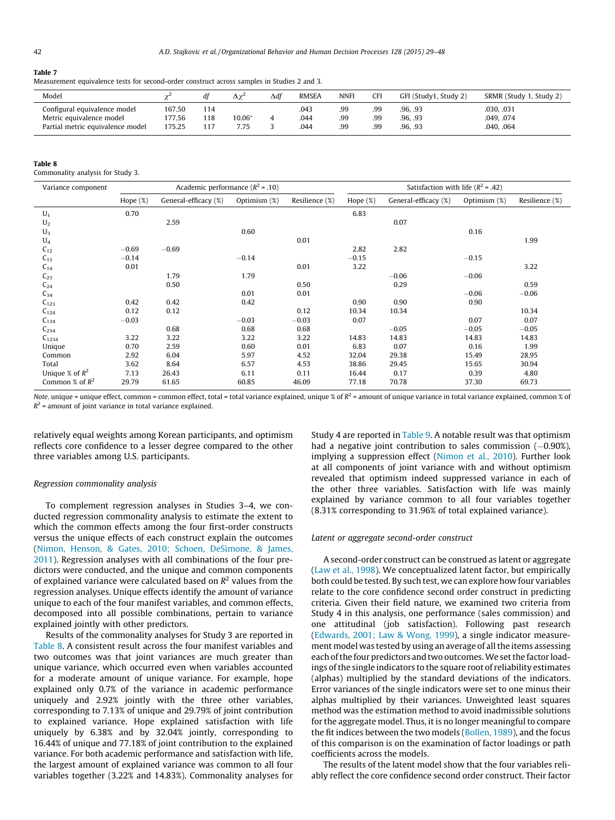#### <span id="page-13-0"></span>Table 7

Measurement equivalence tests for second-order construct across samples in Studies 2 and 3.

| Model                                                                                        |                           |                   | Δγ             | $\Delta df$ | <b>RMSEA</b>         | NNFI              | CFI               | GFI (Study1, Study 2)            | SRMR (Study 1, Study 2)                |
|----------------------------------------------------------------------------------------------|---------------------------|-------------------|----------------|-------------|----------------------|-------------------|-------------------|----------------------------------|----------------------------------------|
| Configural equivalence model<br>Metric equivalence model<br>Partial metric equivalence model | 167.50<br>77.56<br>175.25 | 114<br>118<br>117 | 10.06*<br>7.75 |             | .043<br>.044<br>.044 | .99<br>.99<br>.99 | .99<br>.99<br>.99 | .96. .93<br>.96. .93<br>.96. .93 | .030, .031<br>.049. .074<br>.040, .064 |

#### Table 8

Commonality analysis for Study 3.

| Variance component |             | Academic performance $(R^2 = .10)$ |              |                | Satisfaction with life $(R^2 = .42)$ |                      |              |                |
|--------------------|-------------|------------------------------------|--------------|----------------|--------------------------------------|----------------------|--------------|----------------|
|                    | Hope $(\%)$ | General-efficacy (%)               | Optimism (%) | Resilience (%) | Hope (%)                             | General-efficacy (%) | Optimism (%) | Resilience (%) |
| $U_1$              | 0.70        |                                    |              |                | 6.83                                 |                      |              |                |
| $U_2$              |             | 2.59                               |              |                |                                      | 0.07                 |              |                |
| $U_3$              |             |                                    | 0.60         |                |                                      |                      | 0.16         |                |
| $U_4$              |             |                                    |              | 0.01           |                                      |                      |              | 1.99           |
| $C_{12}$           | $-0.69$     | $-0.69$                            |              |                | 2.82                                 | 2.82                 |              |                |
| $C_{13}$           | $-0.14$     |                                    | $-0.14$      |                | $-0.15$                              |                      | $-0.15$      |                |
| $C_{14}$           | 0.01        |                                    |              | 0.01           | 3.22                                 |                      |              | 3.22           |
| $C_{23}$           |             | 1.79                               | 1.79         |                |                                      | $-0.06$              | $-0.06$      |                |
| $C_{24}$           |             | 0.50                               |              | 0.50           |                                      | 0.29                 |              | 0.59           |
| $C_{34}$           |             |                                    | 0.01         | 0.01           |                                      |                      | $-0.06$      | $-0.06$        |
| $C_{123}$          | 0.42        | 0.42                               | 0.42         |                | 0.90                                 | 0.90                 | 0.90         |                |
| $C_{124}$          | 0.12        | 0.12                               |              | 0.12           | 10.34                                | 10.34                |              | 10.34          |
| $C_{134}$          | $-0.03$     |                                    | $-0.03$      | $-0.03$        | 0.07                                 |                      | 0.07         | 0.07           |
| C <sub>234</sub>   |             | 0.68                               | 0.68         | 0.68           |                                      | $-0.05$              | $-0.05$      | $-0.05$        |
| $C_{1234}$         | 3.22        | 3.22                               | 3.22         | 3.22           | 14.83                                | 14.83                | 14.83        | 14.83          |
| Unique             | 0.70        | 2.59                               | 0.60         | 0.01           | 6.83                                 | 0.07                 | 0.16         | 1.99           |
| Common             | 2.92        | 6.04                               | 5.97         | 4.52           | 32.04                                | 29.38                | 15.49        | 28.95          |
| Total              | 3.62        | 8.64                               | 6.57         | 4.53           | 38.86                                | 29.45                | 15.65        | 30.94          |
| Unique % of $R^2$  | 7.13        | 26.43                              | 6.11         | 0.11           | 16.44                                | 0.17                 | 0.39         | 4.80           |
| Common % of $R^2$  | 29.79       | 61.65                              | 60.85        | 46.09          | 77.18                                | 70.78                | 37.30        | 69.73          |

Note. unique = unique effect, common = common effect, total = total variance explained, unique % of  $R^2$  = amount of unique variance in total variance explained, common % of  $R^2$  = amount of joint variance in total variance explained.

relatively equal weights among Korean participants, and optimism reflects core confidence to a lesser degree compared to the other three variables among U.S. participants.

#### Regression commonality analysis

To complement regression analyses in Studies 3–4, we conducted regression commonality analysis to estimate the extent to which the common effects among the four first-order constructs versus the unique effects of each construct explain the outcomes ([Nimon, Henson, & Gates, 2010; Schoen, DeSimone, & James,](#page-18-0) [2011\)](#page-18-0). Regression analyses with all combinations of the four predictors were conducted, and the unique and common components of explained variance were calculated based on  $R^2$  values from the regression analyses. Unique effects identify the amount of variance unique to each of the four manifest variables, and common effects, decomposed into all possible combinations, pertain to variance explained jointly with other predictors.

Results of the commonality analyses for Study 3 are reported in Table 8. A consistent result across the four manifest variables and two outcomes was that joint variances are much greater than unique variance, which occurred even when variables accounted for a moderate amount of unique variance. For example, hope explained only 0.7% of the variance in academic performance uniquely and 2.92% jointly with the three other variables, corresponding to 7.13% of unique and 29.79% of joint contribution to explained variance. Hope explained satisfaction with life uniquely by 6.38% and by 32.04% jointly, corresponding to 16.44% of unique and 77.18% of joint contribution to the explained variance. For both academic performance and satisfaction with life, the largest amount of explained variance was common to all four variables together (3.22% and 14.83%). Commonality analyses for Study 4 are reported in [Table 9.](#page-14-0) A notable result was that optimism had a negative joint contribution to sales commission  $(-0.90\%)$ implying a suppression effect [\(Nimon et al., 2010](#page-18-0)). Further look at all components of joint variance with and without optimism revealed that optimism indeed suppressed variance in each of the other three variables. Satisfaction with life was mainly explained by variance common to all four variables together (8.31% corresponding to 31.96% of total explained variance).

#### Latent or aggregate second-order construct

A second-order construct can be construed as latent or aggregate ([Law et al., 1998\)](#page-18-0). We conceptualized latent factor, but empirically both could be tested. By such test, we can explore how four variables relate to the core confidence second order construct in predicting criteria. Given their field nature, we examined two criteria from Study 4 in this analysis, one performance (sales commission) and one attitudinal (job satisfaction). Following past research ([Edwards, 2001; Law & Wong, 1999](#page-17-0)), a single indicator measurement model was tested by using an average of all the items assessing each of the four predictors and two outcomes.We set the factor loadings of the single indicators to the square root of reliability estimates (alphas) multiplied by the standard deviations of the indicators. Error variances of the single indicators were set to one minus their alphas multiplied by their variances. Unweighted least squares method was the estimation method to avoid inadmissible solutions for the aggregate model. Thus, it is no longer meaningful to compare the fit indices between the two models [\(Bollen, 1989\)](#page-17-0), and the focus of this comparison is on the examination of factor loadings or path coefficients across the models.

The results of the latent model show that the four variables reliably reflect the core confidence second order construct. Their factor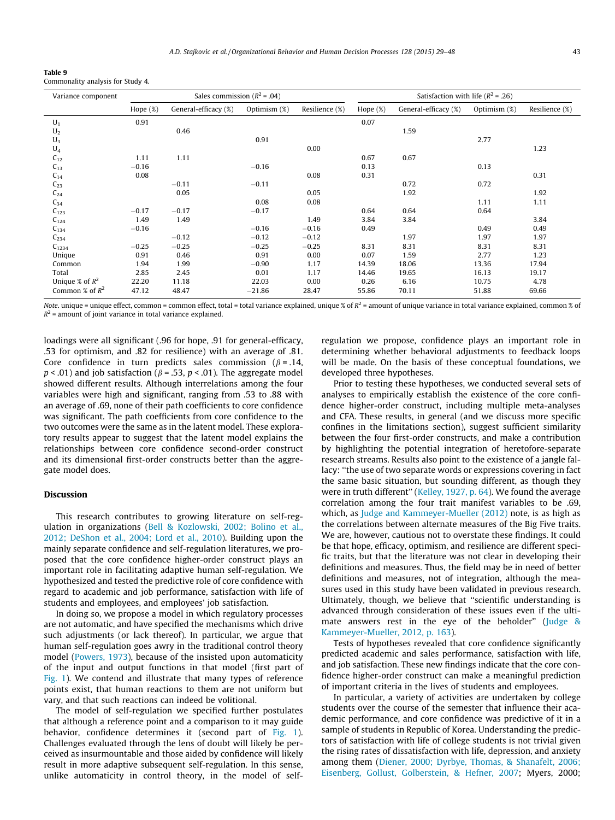<span id="page-14-0"></span>Table 9 Commonality analysis for Study 4.

| Variance component | Sales commission ( $R^2$ = .04) |                      |              |                |             | Satisfaction with life ( $R^2$ = .26) |              |                |  |
|--------------------|---------------------------------|----------------------|--------------|----------------|-------------|---------------------------------------|--------------|----------------|--|
|                    | Hope $(\%)$                     | General-efficacy (%) | Optimism (%) | Resilience (%) | Hope $(\%)$ | General-efficacy (%)                  | Optimism (%) | Resilience (%) |  |
| $U_1$              | 0.91                            |                      |              |                | 0.07        |                                       |              |                |  |
| $U_2$              |                                 | 0.46                 |              |                |             | 1.59                                  |              |                |  |
| $U_3$              |                                 |                      | 0.91         |                |             |                                       | 2.77         |                |  |
| $U_4$              |                                 |                      |              | 0.00           |             |                                       |              | 1.23           |  |
| $C_{12}$           | 1.11                            | 1.11                 |              |                | 0.67        | 0.67                                  |              |                |  |
| $C_{13}$           | $-0.16$                         |                      | $-0.16$      |                | 0.13        |                                       | 0.13         |                |  |
| $C_{14}$           | 0.08                            |                      |              | 0.08           | 0.31        |                                       |              | 0.31           |  |
| $C_{23}$           |                                 | $-0.11$              | $-0.11$      |                |             | 0.72                                  | 0.72         |                |  |
| $C_{24}$           |                                 | 0.05                 |              | 0.05           |             | 1.92                                  |              | 1.92           |  |
| $C_{34}$           |                                 |                      | 0.08         | 0.08           |             |                                       | 1.11         | 1.11           |  |
| $C_{123}$          | $-0.17$                         | $-0.17$              | $-0.17$      |                | 0.64        | 0.64                                  | 0.64         |                |  |
| $C_{124}$          | 1.49                            | 1.49                 |              | 1.49           | 3.84        | 3.84                                  |              | 3.84           |  |
| $C_{134}$          | $-0.16$                         |                      | $-0.16$      | $-0.16$        | 0.49        |                                       | 0.49         | 0.49           |  |
| $C_{234}$          |                                 | $-0.12$              | $-0.12$      | $-0.12$        |             | 1.97                                  | 1.97         | 1.97           |  |
| $C_{1234}$         | $-0.25$                         | $-0.25$              | $-0.25$      | $-0.25$        | 8.31        | 8.31                                  | 8.31         | 8.31           |  |
| Unique             | 0.91                            | 0.46                 | 0.91         | 0.00           | 0.07        | 1.59                                  | 2.77         | 1.23           |  |
| Common             | 1.94                            | 1.99                 | $-0.90$      | 1.17           | 14.39       | 18.06                                 | 13.36        | 17.94          |  |
| Total              | 2.85                            | 2.45                 | 0.01         | 1.17           | 14.46       | 19.65                                 | 16.13        | 19.17          |  |
| Unique % of $R^2$  | 22.20                           | 11.18                | 22.03        | 0.00           | 0.26        | 6.16                                  | 10.75        | 4.78           |  |
| Common % of $R^2$  | 47.12                           | 48.47                | $-21.86$     | 28.47          | 55.86       | 70.11                                 | 51.88        | 69.66          |  |

Note. unique = unique effect, common = common effect, total = total variance explained, unique % of  $R^2$  = amount of unique variance in total variance explained, common % of  $R^2$  = amount of joint variance in total variance explained.

loadings were all significant (.96 for hope, .91 for general-efficacy, .53 for optimism, and .82 for resilience) with an average of .81. Core confidence in turn predicts sales commission ( $\beta$  = .14,  $p < .01$ ) and job satisfaction ( $\beta = .53$ ,  $p < .01$ ). The aggregate model showed different results. Although interrelations among the four variables were high and significant, ranging from .53 to .88 with an average of .69, none of their path coefficients to core confidence was significant. The path coefficients from core confidence to the two outcomes were the same as in the latent model. These exploratory results appear to suggest that the latent model explains the relationships between core confidence second-order construct and its dimensional first-order constructs better than the aggregate model does.

### Discussion

This research contributes to growing literature on self-regulation in organizations ([Bell & Kozlowski, 2002; Bolino et al.,](#page-17-0) [2012; DeShon et al., 2004; Lord et al., 2010\)](#page-17-0). Building upon the mainly separate confidence and self-regulation literatures, we proposed that the core confidence higher-order construct plays an important role in facilitating adaptive human self-regulation. We hypothesized and tested the predictive role of core confidence with regard to academic and job performance, satisfaction with life of students and employees, and employees' job satisfaction.

In doing so, we propose a model in which regulatory processes are not automatic, and have specified the mechanisms which drive such adjustments (or lack thereof). In particular, we argue that human self-regulation goes awry in the traditional control theory model [\(Powers, 1973\)](#page-18-0), because of the insisted upon automaticity of the input and output functions in that model (first part of [Fig. 1](#page-3-0)). We contend and illustrate that many types of reference points exist, that human reactions to them are not uniform but vary, and that such reactions can indeed be volitional.

The model of self-regulation we specified further postulates that although a reference point and a comparison to it may guide behavior, confidence determines it (second part of [Fig. 1\)](#page-3-0). Challenges evaluated through the lens of doubt will likely be perceived as insurmountable and those aided by confidence will likely result in more adaptive subsequent self-regulation. In this sense, unlike automaticity in control theory, in the model of selfregulation we propose, confidence plays an important role in determining whether behavioral adjustments to feedback loops will be made. On the basis of these conceptual foundations, we developed three hypotheses.

Prior to testing these hypotheses, we conducted several sets of analyses to empirically establish the existence of the core confidence higher-order construct, including multiple meta-analyses and CFA. These results, in general (and we discuss more specific confines in the limitations section), suggest sufficient similarity between the four first-order constructs, and make a contribution by highlighting the potential integration of heretofore-separate research streams. Results also point to the existence of a jangle fallacy: ''the use of two separate words or expressions covering in fact the same basic situation, but sounding different, as though they were in truth different'' ([Kelley, 1927, p. 64](#page-18-0)). We found the average correlation among the four trait manifest variables to be .69, which, as [Judge and Kammeyer-Mueller \(2012\)](#page-18-0) note, is as high as the correlations between alternate measures of the Big Five traits. We are, however, cautious not to overstate these findings. It could be that hope, efficacy, optimism, and resilience are different specific traits, but that the literature was not clear in developing their definitions and measures. Thus, the field may be in need of better definitions and measures, not of integration, although the measures used in this study have been validated in previous research. Ultimately, though, we believe that ''scientific understanding is advanced through consideration of these issues even if the ultimate answers rest in the eye of the beholder'' [\(Judge &](#page-18-0) [Kammeyer-Mueller, 2012, p. 163\)](#page-18-0).

Tests of hypotheses revealed that core confidence significantly predicted academic and sales performance, satisfaction with life, and job satisfaction. These new findings indicate that the core confidence higher-order construct can make a meaningful prediction of important criteria in the lives of students and employees.

In particular, a variety of activities are undertaken by college students over the course of the semester that influence their academic performance, and core confidence was predictive of it in a sample of students in Republic of Korea. Understanding the predictors of satisfaction with life of college students is not trivial given the rising rates of dissatisfaction with life, depression, and anxiety among them [\(Diener, 2000; Dyrbye, Thomas, & Shanafelt, 2006;](#page-17-0) [Eisenberg, Gollust, Golberstein, & Hefner, 2007](#page-17-0); Myers, 2000;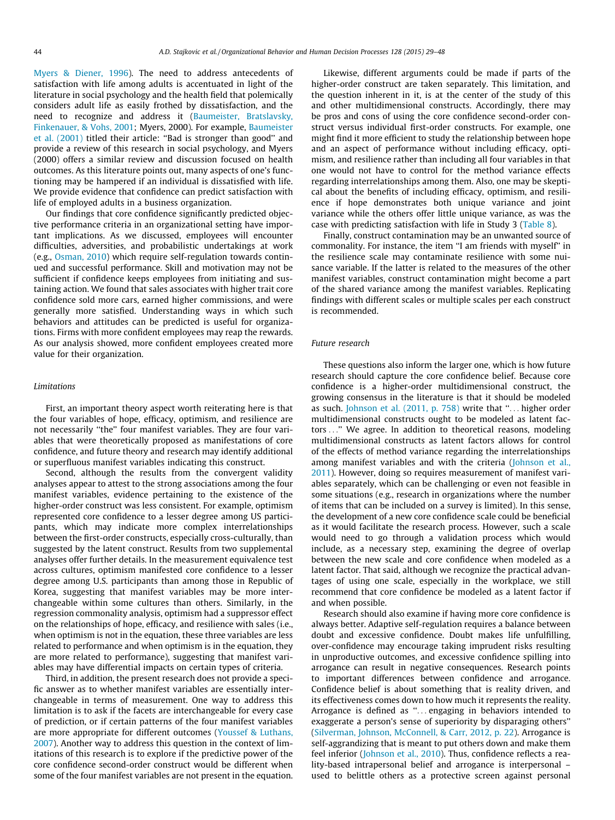[Myers & Diener, 1996](#page-18-0)). The need to address antecedents of satisfaction with life among adults is accentuated in light of the literature in social psychology and the health field that polemically considers adult life as easily frothed by dissatisfaction, and the need to recognize and address it [\(Baumeister, Bratslavsky,](#page-17-0) [Finkenauer, & Vohs, 2001;](#page-17-0) Myers, 2000). For example, [Baumeister](#page-17-0) [et al. \(2001\)](#page-17-0) titled their article: ''Bad is stronger than good'' and provide a review of this research in social psychology, and Myers (2000) offers a similar review and discussion focused on health outcomes. As this literature points out, many aspects of one's functioning may be hampered if an individual is dissatisfied with life. We provide evidence that confidence can predict satisfaction with life of employed adults in a business organization.

Our findings that core confidence significantly predicted objective performance criteria in an organizational setting have important implications. As we discussed, employees will encounter difficulties, adversities, and probabilistic undertakings at work (e.g., [Osman, 2010\)](#page-18-0) which require self-regulation towards continued and successful performance. Skill and motivation may not be sufficient if confidence keeps employees from initiating and sustaining action. We found that sales associates with higher trait core confidence sold more cars, earned higher commissions, and were generally more satisfied. Understanding ways in which such behaviors and attitudes can be predicted is useful for organizations. Firms with more confident employees may reap the rewards. As our analysis showed, more confident employees created more value for their organization.

# Limitations

First, an important theory aspect worth reiterating here is that the four variables of hope, efficacy, optimism, and resilience are not necessarily ''the'' four manifest variables. They are four variables that were theoretically proposed as manifestations of core confidence, and future theory and research may identify additional or superfluous manifest variables indicating this construct.

Second, although the results from the convergent validity analyses appear to attest to the strong associations among the four manifest variables, evidence pertaining to the existence of the higher-order construct was less consistent. For example, optimism represented core confidence to a lesser degree among US participants, which may indicate more complex interrelationships between the first-order constructs, especially cross-culturally, than suggested by the latent construct. Results from two supplemental analyses offer further details. In the measurement equivalence test across cultures, optimism manifested core confidence to a lesser degree among U.S. participants than among those in Republic of Korea, suggesting that manifest variables may be more interchangeable within some cultures than others. Similarly, in the regression commonality analysis, optimism had a suppressor effect on the relationships of hope, efficacy, and resilience with sales (i.e., when optimism is not in the equation, these three variables are less related to performance and when optimism is in the equation, they are more related to performance), suggesting that manifest variables may have differential impacts on certain types of criteria.

Third, in addition, the present research does not provide a specific answer as to whether manifest variables are essentially interchangeable in terms of measurement. One way to address this limitation is to ask if the facets are interchangeable for every case of prediction, or if certain patterns of the four manifest variables are more appropriate for different outcomes ([Youssef & Luthans,](#page-19-0) [2007\)](#page-19-0). Another way to address this question in the context of limitations of this research is to explore if the predictive power of the core confidence second-order construct would be different when some of the four manifest variables are not present in the equation.

Likewise, different arguments could be made if parts of the higher-order construct are taken separately. This limitation, and the question inherent in it, is at the center of the study of this and other multidimensional constructs. Accordingly, there may be pros and cons of using the core confidence second-order construct versus individual first-order constructs. For example, one might find it more efficient to study the relationship between hope and an aspect of performance without including efficacy, optimism, and resilience rather than including all four variables in that one would not have to control for the method variance effects regarding interrelationships among them. Also, one may be skeptical about the benefits of including efficacy, optimism, and resilience if hope demonstrates both unique variance and joint variance while the others offer little unique variance, as was the case with predicting satisfaction with life in Study 3 ([Table 8\)](#page-13-0).

Finally, construct contamination may be an unwanted source of commonality. For instance, the item ''I am friends with myself'' in the resilience scale may contaminate resilience with some nuisance variable. If the latter is related to the measures of the other manifest variables, construct contamination might become a part of the shared variance among the manifest variables. Replicating findings with different scales or multiple scales per each construct is recommended.

## Future research

These questions also inform the larger one, which is how future research should capture the core confidence belief. Because core confidence is a higher-order multidimensional construct, the growing consensus in the literature is that it should be modeled as such. [Johnson et al. \(2011, p. 758\)](#page-17-0) write that "... higher order multidimensional constructs ought to be modeled as latent factors ...'' We agree. In addition to theoretical reasons, modeling multidimensional constructs as latent factors allows for control of the effects of method variance regarding the interrelationships among manifest variables and with the criteria ([Johnson et al.,](#page-17-0) [2011\)](#page-17-0). However, doing so requires measurement of manifest variables separately, which can be challenging or even not feasible in some situations (e.g., research in organizations where the number of items that can be included on a survey is limited). In this sense, the development of a new core confidence scale could be beneficial as it would facilitate the research process. However, such a scale would need to go through a validation process which would include, as a necessary step, examining the degree of overlap between the new scale and core confidence when modeled as a latent factor. That said, although we recognize the practical advantages of using one scale, especially in the workplace, we still recommend that core confidence be modeled as a latent factor if and when possible.

Research should also examine if having more core confidence is always better. Adaptive self-regulation requires a balance between doubt and excessive confidence. Doubt makes life unfulfilling, over-confidence may encourage taking imprudent risks resulting in unproductive outcomes, and excessive confidence spilling into arrogance can result in negative consequences. Research points to important differences between confidence and arrogance. Confidence belief is about something that is reality driven, and its effectiveness comes down to how much it represents the reality. Arrogance is defined as ''... engaging in behaviors intended to exaggerate a person's sense of superiority by disparaging others'' ([Silverman, Johnson, McConnell, & Carr, 2012, p. 22\)](#page-18-0). Arrogance is self-aggrandizing that is meant to put others down and make them feel inferior ([Johnson et al., 2010\)](#page-17-0). Thus, confidence reflects a reality-based intrapersonal belief and arrogance is interpersonal – used to belittle others as a protective screen against personal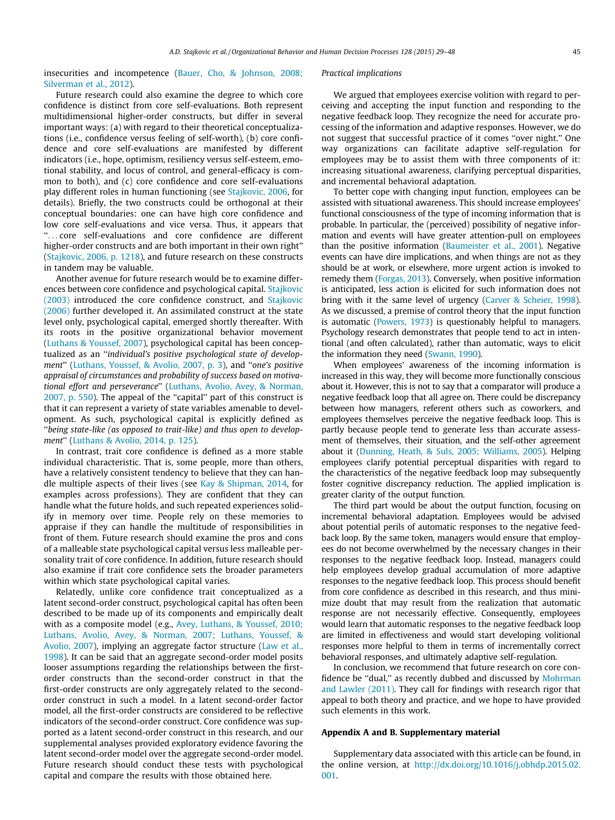insecurities and incompetence [\(Bauer, Cho, & Johnson, 2008;](#page-17-0) [Silverman et al., 2012](#page-17-0)).

# Future research could also examine the degree to which core confidence is distinct from core self-evaluations. Both represent multidimensional higher-order constructs, but differ in several important ways: (a) with regard to their theoretical conceptualizations (i.e., confidence versus feeling of self-worth), (b) core confidence and core self-evaluations are manifested by different indicators (i.e., hope, optimism, resiliency versus self-esteem, emotional stability, and locus of control, and general-efficacy is common to both), and (c) core confidence and core self-evaluations play different roles in human functioning (see [Stajkovic, 2006](#page-18-0), for details). Briefly, the two constructs could be orthogonal at their conceptual boundaries: one can have high core confidence and low core self-evaluations and vice versa. Thus, it appears that ''... core self-evaluations and core confidence are different higher-order constructs and are both important in their own right'' ([Stajkovic, 2006, p. 1218\)](#page-18-0), and future research on these constructs in tandem may be valuable.

Another avenue for future research would be to examine differences between core confidence and psychological capital. [Stajkovic](#page-18-0) [\(2003\)](#page-18-0) introduced the core confidence construct, and [Stajkovic](#page-18-0) [\(2006\)](#page-18-0) further developed it. An assimilated construct at the state level only, psychological capital, emerged shortly thereafter. With its roots in the positive organizational behavior movement ([Luthans & Youssef, 2007\)](#page-18-0), psychological capital has been conceptualized as an ''individual's positive psychological state of development'' ([Luthans, Youssef, & Avolio, 2007, p. 3\)](#page-18-0), and ''one's positive appraisal of circumstances and probability of success based on motivational effort and perseverance'' ([Luthans, Avolio, Avey, & Norman,](#page-18-0) [2007, p. 550](#page-18-0)). The appeal of the ''capital'' part of this construct is that it can represent a variety of state variables amenable to development. As such, psychological capital is explicitly defined as ''being state-like (as opposed to trait-like) and thus open to development'' ([Luthans & Avolio, 2014, p. 125](#page-18-0)).

In contrast, trait core confidence is defined as a more stable individual characteristic. That is, some people, more than others, have a relatively consistent tendency to believe that they can handle multiple aspects of their lives (see [Kay & Shipman, 2014,](#page-18-0) for examples across professions). They are confident that they can handle what the future holds, and such repeated experiences solidify in memory over time. People rely on these memories to appraise if they can handle the multitude of responsibilities in front of them. Future research should examine the pros and cons of a malleable state psychological capital versus less malleable personality trait of core confidence. In addition, future research should also examine if trait core confidence sets the broader parameters within which state psychological capital varies.

Relatedly, unlike core confidence trait conceptualized as a latent second-order construct, psychological capital has often been described to be made up of its components and empirically dealt with as a composite model (e.g., [Avey, Luthans, & Youssef, 2010;](#page-17-0) [Luthans, Avolio, Avey, & Norman, 2007; Luthans, Youssef, &](#page-17-0) [Avolio, 2007](#page-17-0)), implying an aggregate factor structure ([Law et al.,](#page-18-0) [1998\)](#page-18-0). It can be said that an aggregate second-order model posits looser assumptions regarding the relationships between the firstorder constructs than the second-order construct in that the first-order constructs are only aggregately related to the secondorder construct in such a model. In a latent second-order factor model, all the first-order constructs are considered to be reflective indicators of the second-order construct. Core confidence was supported as a latent second-order construct in this research, and our supplemental analyses provided exploratory evidence favoring the latent second-order model over the aggregate second-order model. Future research should conduct these tests with psychological capital and compare the results with those obtained here.

#### Practical implications

We argued that employees exercise volition with regard to perceiving and accepting the input function and responding to the negative feedback loop. They recognize the need for accurate processing of the information and adaptive responses. However, we do not suggest that successful practice of it comes ''over night.'' One way organizations can facilitate adaptive self-regulation for employees may be to assist them with three components of it: increasing situational awareness, clarifying perceptual disparities, and incremental behavioral adaptation.

To better cope with changing input function, employees can be assisted with situational awareness. This should increase employees' functional consciousness of the type of incoming information that is probable. In particular, the (perceived) possibility of negative information and events will have greater attention-pull on employees than the positive information [\(Baumeister et al., 2001](#page-17-0)). Negative events can have dire implications, and when things are not as they should be at work, or elsewhere, more urgent action is invoked to remedy them ([Forgas, 2013](#page-17-0)). Conversely, when positive information is anticipated, less action is elicited for such information does not bring with it the same level of urgency [\(Carver & Scheier, 1998\)](#page-17-0). As we discussed, a premise of control theory that the input function is automatic [\(Powers, 1973](#page-18-0)) is questionably helpful to managers. Psychology research demonstrates that people tend to act in intentional (and often calculated), rather than automatic, ways to elicit the information they need [\(Swann, 1990\)](#page-18-0).

When employees' awareness of the incoming information is increased in this way, they will become more functionally conscious about it. However, this is not to say that a comparator will produce a negative feedback loop that all agree on. There could be discrepancy between how managers, referent others such as coworkers, and employees themselves perceive the negative feedback loop. This is partly because people tend to generate less than accurate assessment of themselves, their situation, and the self-other agreement about it [\(Dunning, Heath, & Suls, 2005; Williams, 2005](#page-17-0)). Helping employees clarify potential perceptual disparities with regard to the characteristics of the negative feedback loop may subsequently foster cognitive discrepancy reduction. The applied implication is greater clarity of the output function.

The third part would be about the output function, focusing on incremental behavioral adaptation. Employees would be advised about potential perils of automatic responses to the negative feedback loop. By the same token, managers would ensure that employees do not become overwhelmed by the necessary changes in their responses to the negative feedback loop. Instead, managers could help employees develop gradual accumulation of more adaptive responses to the negative feedback loop. This process should benefit from core confidence as described in this research, and thus minimize doubt that may result from the realization that automatic response are not necessarily effective. Consequently, employees would learn that automatic responses to the negative feedback loop are limited in effectiveness and would start developing volitional responses more helpful to them in terms of incrementally correct behavioral responses, and ultimately adaptive self-regulation.

In conclusion, we recommend that future research on core con-fidence be "dual," as recently dubbed and discussed by [Mohrman](#page-18-0) [and Lawler \(2011\).](#page-18-0) They call for findings with research rigor that appeal to both theory and practice, and we hope to have provided such elements in this work.

# Appendix A and B. Supplementary material

Supplementary data associated with this article can be found, in the online version, at [http://dx.doi.org/10.1016/j.obhdp.2015.02.](http://dx.doi.org/10.1016/j.obhdp.2015.02.001) [001.](http://dx.doi.org/10.1016/j.obhdp.2015.02.001)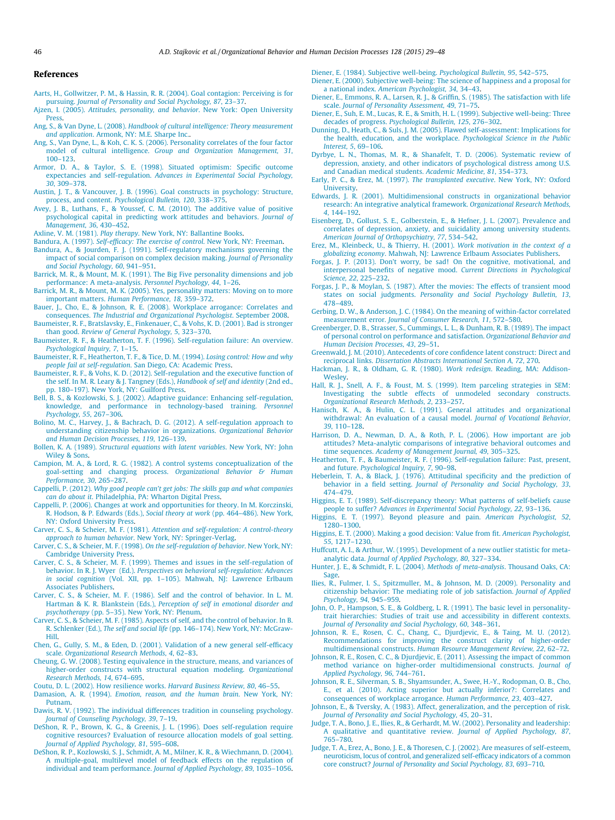# <span id="page-17-0"></span>References

- [Aarts, H., Gollwitzer, P. M., & Hassin, R. R. \(2004\). Goal contagion: Perceiving is for](http://refhub.elsevier.com/S0749-5978(15)00006-0/h0005) pursuing. [Journal of Personality and Social Psychology, 87](http://refhub.elsevier.com/S0749-5978(15)00006-0/h0005), 23–37.
- Ajzen, I. (2005). [Attitudes, personality, and behavior](http://refhub.elsevier.com/S0749-5978(15)00006-0/h0010). New York: Open University [Press](http://refhub.elsevier.com/S0749-5978(15)00006-0/h0010).
- Ang, S., & Van Dyne, L. (2008). [Handbook of cultural intelligence: Theory measurement](http://refhub.elsevier.com/S0749-5978(15)00006-0/h0015) and application[. Armonk, NY: M.E. Sharpe Inc.](http://refhub.elsevier.com/S0749-5978(15)00006-0/h0015).
- [Ang, S., Van Dyne, L., & Koh, C. K. S. \(2006\). Personality correlates of the four factor](http://refhub.elsevier.com/S0749-5978(15)00006-0/h0020) model of cultural intelligence. [Group and Organization Management, 31](http://refhub.elsevier.com/S0749-5978(15)00006-0/h0020), [100–123](http://refhub.elsevier.com/S0749-5978(15)00006-0/h0020).
- [Armor, D. A., & Taylor, S. E. \(1998\). Situated optimism: Specific outcome](http://refhub.elsevier.com/S0749-5978(15)00006-0/h0025) expectancies and self-regulation. [Advances in Experimental Social Psychology,](http://refhub.elsevier.com/S0749-5978(15)00006-0/h0025) 30[, 309–378](http://refhub.elsevier.com/S0749-5978(15)00006-0/h0025).
- [Austin, J. T., & Vancouver, J. B. \(1996\). Goal constructs in psychology: Structure,](http://refhub.elsevier.com/S0749-5978(15)00006-0/h0030) process, and content. [Psychological Bulletin, 120](http://refhub.elsevier.com/S0749-5978(15)00006-0/h0030), 338–375.
- [Avey, J. B., Luthans, F., & Youssef, C. M. \(2010\). The additive value of positive](http://refhub.elsevier.com/S0749-5978(15)00006-0/h0035) [psychological capital in predicting work attitudes and behaviors.](http://refhub.elsevier.com/S0749-5978(15)00006-0/h0035) Journal of
- [Management, 36](http://refhub.elsevier.com/S0749-5978(15)00006-0/h0035), 430–452. Axline, V. M. (1981). Play therapy[. New York, NY: Ballantine Books.](http://refhub.elsevier.com/S0749-5978(15)00006-0/h0040)
- Bandura, A. (1997). [Self-efficacy: The exercise of control](http://refhub.elsevier.com/S0749-5978(15)00006-0/h0045). New York, NY: Freeman.
- [Bandura, A., & Jourden, F. J. \(1991\). Self-regulatory mechanisms governing the](http://refhub.elsevier.com/S0749-5978(15)00006-0/h0050) [impact of social comparison on complex decision making.](http://refhub.elsevier.com/S0749-5978(15)00006-0/h0050) Journal of Personality [and Social Psychology, 60](http://refhub.elsevier.com/S0749-5978(15)00006-0/h0050), 941–951.
- [Barrick, M. R., & Mount, M. K. \(1991\). The Big Five personality dimensions and job](http://refhub.elsevier.com/S0749-5978(15)00006-0/h0055) [performance: A meta-analysis.](http://refhub.elsevier.com/S0749-5978(15)00006-0/h0055) *Personnel Psychology*, 44, 1–26.
- [Barrick, M. R., & Mount, M. K. \(2005\). Yes, personality matters: Moving on to more](http://refhub.elsevier.com/S0749-5978(15)00006-0/h0060) important matters. [Human Performance, 18](http://refhub.elsevier.com/S0749-5978(15)00006-0/h0060), 359–372.
- [Bauer, J., Cho, E., & Johnson, R. E. \(2008\). Workplace arrogance: Correlates and](http://refhub.elsevier.com/S0749-5978(15)00006-0/h0065) consequences. [The Industrial and Organizational Psychologist](http://refhub.elsevier.com/S0749-5978(15)00006-0/h0065). September 2008.
- [Baumeister, R. F., Bratslavsky, E., Finkenauer, C., & Vohs, K. D. \(2001\). Bad is stronger](http://refhub.elsevier.com/S0749-5978(15)00006-0/h0070) than good. [Review of General Psychology, 5](http://refhub.elsevier.com/S0749-5978(15)00006-0/h0070), 323–370.
- [Baumeister, R. F., & Heatherton, T. F. \(1996\). Self-regulation failure: An overview.](http://refhub.elsevier.com/S0749-5978(15)00006-0/h0075) [Psychological Inquiry, 7](http://refhub.elsevier.com/S0749-5978(15)00006-0/h0075), 1–15.
- [Baumeister, R. F., Heatherton, T. F., & Tice, D. M. \(1994\).](http://refhub.elsevier.com/S0749-5978(15)00006-0/h0080) Losing control: How and why people fail at self-regulation[. San Diego, CA: Academic Press.](http://refhub.elsevier.com/S0749-5978(15)00006-0/h0080)
- [Baumeister, R. F., & Vohs, K. D. \(2012\). Self-regulation and the executive function of](http://refhub.elsevier.com/S0749-5978(15)00006-0/h0085) [the self. In M. R. Leary & J. Tangney \(Eds.\),](http://refhub.elsevier.com/S0749-5978(15)00006-0/h0085) Handbook of self and identity (2nd ed., [pp. 180–197\). New York, NY: Guilford Press](http://refhub.elsevier.com/S0749-5978(15)00006-0/h0085).
- [Bell, B. S., & Kozlowski, S. J. \(2002\). Adaptive guidance: Enhancing self-regulation,](http://refhub.elsevier.com/S0749-5978(15)00006-0/h0090) [knowledge, and performance in technology-based training.](http://refhub.elsevier.com/S0749-5978(15)00006-0/h0090) Personnel [Psychology, 55](http://refhub.elsevier.com/S0749-5978(15)00006-0/h0090), 267–306.
- [Bolino, M. C., Harvey, J., & Bachrach, D. G. \(2012\). A self-regulation approach to](http://refhub.elsevier.com/S0749-5978(15)00006-0/h0095) [understanding citizenship behavior in organizations.](http://refhub.elsevier.com/S0749-5978(15)00006-0/h0095) Organizational Behavior [and Human Decision Processes, 119](http://refhub.elsevier.com/S0749-5978(15)00006-0/h0095), 126–139.
- Bollen, K. A. (1989). [Structural equations with latent variables](http://refhub.elsevier.com/S0749-5978(15)00006-0/h0100). New York, NY: John [Wiley & Sons](http://refhub.elsevier.com/S0749-5978(15)00006-0/h0100).
- [Campion, M. A., & Lord, R. G. \(1982\). A control systems conceptualization of the](http://refhub.elsevier.com/S0749-5978(15)00006-0/h0105) [goal-setting and changing process.](http://refhub.elsevier.com/S0749-5978(15)00006-0/h0105) Organizational Behavior & Human [Performance, 30](http://refhub.elsevier.com/S0749-5978(15)00006-0/h0105), 265–287.
- Cappelli, P. (2012). [Why good people can't get jobs: The skills gap and what companies](http://refhub.elsevier.com/S0749-5978(15)00006-0/h0110) can do about it[. Philadelphia, PA: Wharton Digital Press](http://refhub.elsevier.com/S0749-5978(15)00006-0/h0110).
- [Cappelli, P. \(2006\). Changes at work and opportunities for theory. In M. Korczinski,](http://refhub.elsevier.com/S0749-5978(15)00006-0/h0115) [R. Hodson, & P. Edwards \(Eds.\),](http://refhub.elsevier.com/S0749-5978(15)00006-0/h0115) Social theory at work (pp. 464–486). New York, [NY: Oxford University Press.](http://refhub.elsevier.com/S0749-5978(15)00006-0/h0115)
- Carver, C. S., & Scheier, M. F. (1981). [Attention and self-regulation: A control-theory](http://refhub.elsevier.com/S0749-5978(15)00006-0/h0120) approach to human behavior[. New York, NY: Springer-Verlag](http://refhub.elsevier.com/S0749-5978(15)00006-0/h0120).
- [Carver, C. S., & Scheier, M. F. \(1998\).](http://refhub.elsevier.com/S0749-5978(15)00006-0/h0125) On the self-regulation of behavior. New York, NY: [Cambridge University Press](http://refhub.elsevier.com/S0749-5978(15)00006-0/h0125).
- [Carver, C. S., & Scheier, M. F. \(1999\). Themes and issues in the self-regulation of](http://refhub.elsevier.com/S0749-5978(15)00006-0/h0130) behavior. In R. J. Wyer (Ed.). [Perspectives on behavioral self-regulation: Advances](http://refhub.elsevier.com/S0749-5978(15)00006-0/h0130) in social cognition [\(Vol. XII, pp. 1–105\). Mahwah, NJ: Lawrence Erlbaum](http://refhub.elsevier.com/S0749-5978(15)00006-0/h0130) [Associates Publishers](http://refhub.elsevier.com/S0749-5978(15)00006-0/h0130).
- [Carver, C. S., & Scheier, M. F. \(1986\). Self and the control of behavior. In L. M.](http://refhub.elsevier.com/S0749-5978(15)00006-0/h0135) Hartman & K. R. Blankstein (Eds.), [Perception of self in emotional disorder and](http://refhub.elsevier.com/S0749-5978(15)00006-0/h0135) psychotherapy [\(pp. 5–35\). New York, NY: Plenum.](http://refhub.elsevier.com/S0749-5978(15)00006-0/h0135)
- [Carver, C. S., & Scheier, M. F. \(1985\). Aspects of self, and the control of behavior. In B.](http://refhub.elsevier.com/S0749-5978(15)00006-0/h0140) R. Schlenker (Ed.), The self and social life [\(pp. 146–174\). New York, NY: McGraw-](http://refhub.elsevier.com/S0749-5978(15)00006-0/h0140)[Hill.](http://refhub.elsevier.com/S0749-5978(15)00006-0/h0140)
- [Chen, G., Gully, S. M., & Eden, D. \(2001\). Validation of a new general self-efficacy](http://refhub.elsevier.com/S0749-5978(15)00006-0/h0145) scale. [Organizational Research Methods, 4](http://refhub.elsevier.com/S0749-5978(15)00006-0/h0145), 62–83.
- [Cheung, G. W. \(2008\). Testing equivalence in the structure, means, and variances of](http://refhub.elsevier.com/S0749-5978(15)00006-0/h0150) [higher-order constructs with structural equation modeling.](http://refhub.elsevier.com/S0749-5978(15)00006-0/h0150) Organizational [Research Methods, 14](http://refhub.elsevier.com/S0749-5978(15)00006-0/h0150), 674–695.
- [Coutu, D. L. \(2002\). How resilience works.](http://refhub.elsevier.com/S0749-5978(15)00006-0/h0155) Harvard Business Review, 80, 46–55.
- Damasion, A. R. (1994). [Emotion, reason, and the human brain](http://refhub.elsevier.com/S0749-5978(15)00006-0/h0160). New York, NY: [Putnam](http://refhub.elsevier.com/S0749-5978(15)00006-0/h0160).
- [Dawis, R. V. \(1992\). The individual differences tradition in counseling psychology.](http://refhub.elsevier.com/S0749-5978(15)00006-0/h0165) [Journal of Counseling Psychology, 39](http://refhub.elsevier.com/S0749-5978(15)00006-0/h0165), 7–19.
- [DeShon, R. P., Brown, K. G., & Greenis, J. L. \(1996\). Does self-regulation require](http://refhub.elsevier.com/S0749-5978(15)00006-0/h0170) [cognitive resources? Evaluation of resource allocation models of goal setting.](http://refhub.elsevier.com/S0749-5978(15)00006-0/h0170) [Journal of Applied Psychology, 81](http://refhub.elsevier.com/S0749-5978(15)00006-0/h0170), 595–608.
- [DeShon, R. P., Kozlowski, S. J., Schmidt, A. M., Milner, K. R., & Wiechmann, D. \(2004\).](http://refhub.elsevier.com/S0749-5978(15)00006-0/h0175) [A multiple-goal, multilevel model of feedback effects on the regulation of](http://refhub.elsevier.com/S0749-5978(15)00006-0/h0175) [individual and team performance.](http://refhub.elsevier.com/S0749-5978(15)00006-0/h0175) Journal of Applied Psychology, 89, 1035–1056.

[Diener, E. \(1984\). Subjective well-being.](http://refhub.elsevier.com/S0749-5978(15)00006-0/h0180) Psychological Bulletin, 95, 542–575.

[Diener, E. \(2000\). Subjective well-being: The science of happiness and a proposal for](http://refhub.elsevier.com/S0749-5978(15)00006-0/h0185) a national index. [American Psychologist, 34](http://refhub.elsevier.com/S0749-5978(15)00006-0/h0185), 34–43.

- [Diener, E., Emmons, R. A., Larsen, R. J., & Griffin, S. \(1985\). The satisfaction with life](http://refhub.elsevier.com/S0749-5978(15)00006-0/h0190) scale. [Journal of Personality Assessment, 49](http://refhub.elsevier.com/S0749-5978(15)00006-0/h0190), 71–75.
- [Diener, E., Suh, E. M., Lucas, R. E., & Smith, H. L. \(1999\). Subjective well-being: Three](http://refhub.elsevier.com/S0749-5978(15)00006-0/h0195) decades of progress. [Psychological Bulletin, 125](http://refhub.elsevier.com/S0749-5978(15)00006-0/h0195), 276–302.
- [Dunning, D., Heath, C., & Suls, J. M. \(2005\). Flawed self-assessment: Implications for](http://refhub.elsevier.com/S0749-5978(15)00006-0/h0200) [the health, education, and the workplace.](http://refhub.elsevier.com/S0749-5978(15)00006-0/h0200) Psychological Science in the Public [Interest, 5](http://refhub.elsevier.com/S0749-5978(15)00006-0/h0200), 69–106.
- [Dyrbye, L. N., Thomas, M. R., & Shanafelt, T. D. \(2006\). Systematic review of](http://refhub.elsevier.com/S0749-5978(15)00006-0/h0205) [depression, anxiety, and other indicators of psychological distress among U.S.](http://refhub.elsevier.com/S0749-5978(15)00006-0/h0205) [and Canadian medical students.](http://refhub.elsevier.com/S0749-5978(15)00006-0/h0205) Academic Medicine, 81, 354–373.
- [Early, P. C., & Erez, M. \(1997\).](http://refhub.elsevier.com/S0749-5978(15)00006-0/h0210) The transplanted executive. New York, NY: Oxford [University.](http://refhub.elsevier.com/S0749-5978(15)00006-0/h0210)
- [Edwards, J. R. \(2001\). Multidimensional constructs in organizational behavior](http://refhub.elsevier.com/S0749-5978(15)00006-0/h0215) [research: An integrative analytical framework.](http://refhub.elsevier.com/S0749-5978(15)00006-0/h0215) Organizational Research Methods, 4[, 144–192.](http://refhub.elsevier.com/S0749-5978(15)00006-0/h0215)
- [Eisenberg, D., Gollust, S. E., Golberstein, E., & Hefner, J. L. \(2007\). Prevalence and](http://refhub.elsevier.com/S0749-5978(15)00006-0/h0220) [correlates of depression, anxiety, and suicidality among university students.](http://refhub.elsevier.com/S0749-5978(15)00006-0/h0220) [American Journal of Orthopsychiatry, 77](http://refhub.elsevier.com/S0749-5978(15)00006-0/h0220), 534–542.
- [Erez, M., Kleinbeck, U., & Thierry, H. \(2001\).](http://refhub.elsevier.com/S0749-5978(15)00006-0/h0225) Work motivation in the context of a globalizing economy[. Mahwah, NJ: Lawrence Erlbaum Associates Publishers](http://refhub.elsevier.com/S0749-5978(15)00006-0/h0225).
- [Forgas, J. P. \(2013\). Don't worry, be sad! On the cognitive, motivational, and](http://refhub.elsevier.com/S0749-5978(15)00006-0/h0230) [interpersonal benefits of negative mood.](http://refhub.elsevier.com/S0749-5978(15)00006-0/h0230) Current Directions in Psychological [Science, 22](http://refhub.elsevier.com/S0749-5978(15)00006-0/h0230), 225–232.
- [Forgas, J. P., & Moylan, S. \(1987\). After the movies: The effects of transient mood](http://refhub.elsevier.com/S0749-5978(15)00006-0/h0235) states on social judgments. [Personality and Social Psychology Bulletin, 13](http://refhub.elsevier.com/S0749-5978(15)00006-0/h0235), [478–489](http://refhub.elsevier.com/S0749-5978(15)00006-0/h0235).
- [Gerbing, D. W., & Anderson, J. C. \(1984\). On the meaning of within-factor correlated](http://refhub.elsevier.com/S0749-5978(15)00006-0/h0240) measurement error. [Journal of Consumer Research, 11](http://refhub.elsevier.com/S0749-5978(15)00006-0/h0240), 572–580.
- [Greenberger, D. B., Strasser, S., Cummings, L. L., & Dunham, R. B. \(1989\). The impact](http://refhub.elsevier.com/S0749-5978(15)00006-0/h0245) [of personal control on performance and satisfaction.](http://refhub.elsevier.com/S0749-5978(15)00006-0/h0245) Organizational Behavior and [Human Decision Processes, 43](http://refhub.elsevier.com/S0749-5978(15)00006-0/h0245), 29–51.
- [Greenwald, J. M. \(2010\). Antecedents of core confidence latent construct: Direct and](http://refhub.elsevier.com/S0749-5978(15)00006-0/h0250) reciprocal links. [Dissertation Abstracts International Section A, 72](http://refhub.elsevier.com/S0749-5978(15)00006-0/h0250), 270.
- [Hackman, J. R., & Oldham, G. R. \(1980\).](http://refhub.elsevier.com/S0749-5978(15)00006-0/h0255) Work redesign. Reading, MA: Addison-[Wesley.](http://refhub.elsevier.com/S0749-5978(15)00006-0/h0255)
- [Hall, R. J., Snell, A. F., & Foust, M. S. \(1999\). Item parceling strategies in SEM:](http://refhub.elsevier.com/S0749-5978(15)00006-0/h0260) [Investigating the subtle effects of unmodeled secondary constructs.](http://refhub.elsevier.com/S0749-5978(15)00006-0/h0260) [Organizational Research Methods, 2](http://refhub.elsevier.com/S0749-5978(15)00006-0/h0260), 233–257.
- [Hanisch, K. A., & Hulin, C. L. \(1991\). General attitudes and organizational](http://refhub.elsevier.com/S0749-5978(15)00006-0/h0265) [withdrawal: An evaluation of a causal model.](http://refhub.elsevier.com/S0749-5978(15)00006-0/h0265) Journal of Vocational Behavior, 39[, 110–128](http://refhub.elsevier.com/S0749-5978(15)00006-0/h0265).
- [Harrison, D. A., Newman, D. A., & Roth, P. L. \(2006\). How important are job](http://refhub.elsevier.com/S0749-5978(15)00006-0/h0270) [attitudes? Meta-analytic comparisons of integrative behavioral outcomes and](http://refhub.elsevier.com/S0749-5978(15)00006-0/h0270) time sequences. [Academy of Management Journal, 49](http://refhub.elsevier.com/S0749-5978(15)00006-0/h0270), 305–325.
- [Heatherton, T. F., & Baumeister, R. F. \(1996\). Self-regulation failure: Past, present,](http://refhub.elsevier.com/S0749-5978(15)00006-0/h0275) and future. [Psychological Inquiry, 7](http://refhub.elsevier.com/S0749-5978(15)00006-0/h0275), 90–98.
- [Heberlein, T. A., & Black, J. \(1976\). Attitudinal specificity and the prediction of](http://refhub.elsevier.com/S0749-5978(15)00006-0/h0280) behavior in a field setting. [Journal of Personality and Social Psychology, 33](http://refhub.elsevier.com/S0749-5978(15)00006-0/h0280), [474–479](http://refhub.elsevier.com/S0749-5978(15)00006-0/h0280).
- [Higgins, E. T. \(1989\). Self-discrepancy theory: What patterns of self-beliefs cause](http://refhub.elsevier.com/S0749-5978(15)00006-0/h0285) people to suffer? [Advances in Experimental Social Psychology, 22](http://refhub.elsevier.com/S0749-5978(15)00006-0/h0285), 93–136.
- [Higgins, E. T. \(1997\). Beyond pleasure and pain.](http://refhub.elsevier.com/S0749-5978(15)00006-0/h0290) American Psychologist, 52, [1280–1300.](http://refhub.elsevier.com/S0749-5978(15)00006-0/h0290)
- [Higgins, E. T. \(2000\). Making a good decision: Value from fit.](http://refhub.elsevier.com/S0749-5978(15)00006-0/h0295) American Psychologist, 55[, 1217–1230.](http://refhub.elsevier.com/S0749-5978(15)00006-0/h0295)
- [Huffcutt, A. I., & Arthur, W. \(1995\). Development of a new outlier statistic for meta](http://refhub.elsevier.com/S0749-5978(15)00006-0/h0300)analytic data. [Journal of Applied Psychology, 80](http://refhub.elsevier.com/S0749-5978(15)00006-0/h0300), 327–334.
- [Hunter, J. E., & Schmidt, F. L. \(2004\).](http://refhub.elsevier.com/S0749-5978(15)00006-0/h0305) Methods of meta-analysis. Thousand Oaks, CA: [Sage](http://refhub.elsevier.com/S0749-5978(15)00006-0/h0305).
- [Ilies, R., Fulmer, I. S., Spitzmuller, M., & Johnson, M. D. \(2009\). Personality and](http://refhub.elsevier.com/S0749-5978(15)00006-0/h0310) [citizenship behavior: The mediating role of job satisfaction.](http://refhub.elsevier.com/S0749-5978(15)00006-0/h0310) Journal of Applied [Psychology, 94](http://refhub.elsevier.com/S0749-5978(15)00006-0/h0310), 945–959.
- [John, O. P., Hampson, S. E., & Goldberg, L. R. \(1991\). The basic level in personality](http://refhub.elsevier.com/S0749-5978(15)00006-0/h0315)[trait hierarchies: Studies of trait use and accessibility in different contexts.](http://refhub.elsevier.com/S0749-5978(15)00006-0/h0315) [Journal of Personality and Social Psychology, 60](http://refhub.elsevier.com/S0749-5978(15)00006-0/h0315), 348–361.
- [Johnson, R. E., Rosen, C. C., Chang, C., Djurdjevic, E., & Taing, M. U. \(2012\).](http://refhub.elsevier.com/S0749-5978(15)00006-0/h0320) [Recommendations for improving the construct clarity of higher-order](http://refhub.elsevier.com/S0749-5978(15)00006-0/h0320) multidimensional constructs. [Human Resource Management Review, 22](http://refhub.elsevier.com/S0749-5978(15)00006-0/h0320), 62–72.
- [Johnson, R. E., Rosen, C. C., & Djurdjevic, E. \(2011\). Assessing the impact of common](http://refhub.elsevier.com/S0749-5978(15)00006-0/h0325) [method variance on higher-order multidimensional constructs.](http://refhub.elsevier.com/S0749-5978(15)00006-0/h0325) Journal of [Applied Psychology, 96](http://refhub.elsevier.com/S0749-5978(15)00006-0/h0325), 744–761.
- [Johnson, R. E., Silverman, S. B., Shyamsunder, A., Swee, H.-Y., Rodopman, O. B., Cho,](http://refhub.elsevier.com/S0749-5978(15)00006-0/h0330) [E., et al. \(2010\). Acting superior but actually inferior?: Correlates and](http://refhub.elsevier.com/S0749-5978(15)00006-0/h0330) [consequences of workplace arrogance.](http://refhub.elsevier.com/S0749-5978(15)00006-0/h0330) Human Performance, 23, 403–427.
- [Johnson, E., & Tversky, A. \(1983\). Affect, generalization, and the perception of risk.](http://refhub.elsevier.com/S0749-5978(15)00006-0/h0335) [Journal of Personality and Social Psychology, 45](http://refhub.elsevier.com/S0749-5978(15)00006-0/h0335), 20–31.
- [Judge, T. A., Bono, J. E., Ilies, R., & Gerhardt, M. W. \(2002\). Personality and leadership:](http://refhub.elsevier.com/S0749-5978(15)00006-0/h0340) [A qualitative and quantitative review.](http://refhub.elsevier.com/S0749-5978(15)00006-0/h0340) Journal of Applied Psychology, 87, [765–780](http://refhub.elsevier.com/S0749-5978(15)00006-0/h0340).
- [Judge, T. A., Erez, A., Bono, J. E., & Thoresen, C. J. \(2002\). Are measures of self-esteem,](http://refhub.elsevier.com/S0749-5978(15)00006-0/h0345) [neuroticism, locus of control, and generalized self-efficacy indicators of a common](http://refhub.elsevier.com/S0749-5978(15)00006-0/h0345) core construct? [Journal of Personality and Social Psychology, 83](http://refhub.elsevier.com/S0749-5978(15)00006-0/h0345), 693–710.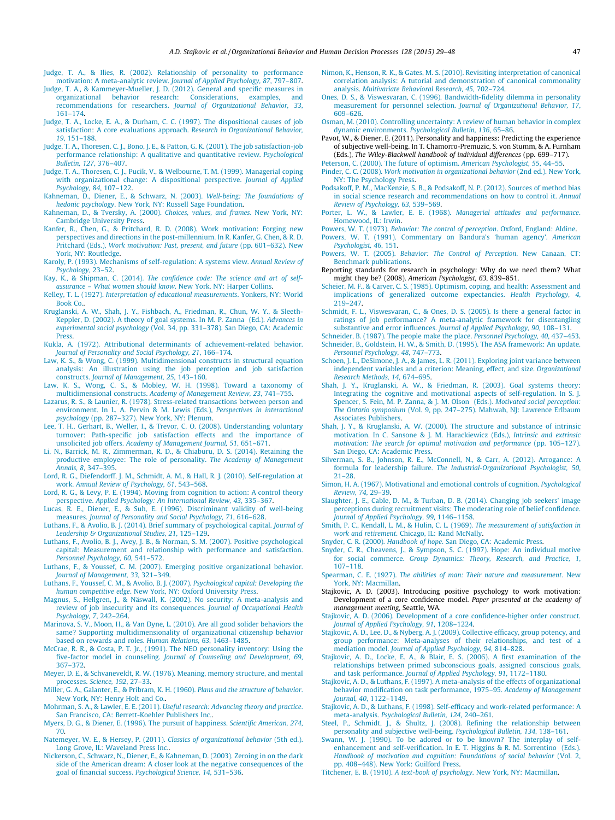- <span id="page-18-0"></span>[Judge, T. A., & Ilies, R. \(2002\). Relationship of personality to performance](http://refhub.elsevier.com/S0749-5978(15)00006-0/h0350) [motivation: A meta-analytic review.](http://refhub.elsevier.com/S0749-5978(15)00006-0/h0350) Journal of Applied Psychology, 87, 797–807.
- [Judge, T. A., & Kammeyer-Mueller, J. D. \(2012\). General and specific measures in](http://refhub.elsevier.com/S0749-5978(15)00006-0/h0355) [organizational behavior research: Considerations, examples, and](http://refhub.elsevier.com/S0749-5978(15)00006-0/h0355) recommendations for researchers. [Journal of Organizational Behavior, 33](http://refhub.elsevier.com/S0749-5978(15)00006-0/h0355), [161–174](http://refhub.elsevier.com/S0749-5978(15)00006-0/h0355).
- [Judge, T. A., Locke, E. A., & Durham, C. C. \(1997\). The dispositional causes of job](http://refhub.elsevier.com/S0749-5978(15)00006-0/h0360) [satisfaction: A core evaluations approach.](http://refhub.elsevier.com/S0749-5978(15)00006-0/h0360) Research in Organizational Behavior, 19[, 151–188](http://refhub.elsevier.com/S0749-5978(15)00006-0/h0360).
- [Judge, T. A., Thoresen, C. J., Bono, J. E., & Patton, G. K. \(2001\). The job satisfaction-job](http://refhub.elsevier.com/S0749-5978(15)00006-0/h0365) [performance relationship: A qualitative and quantitative review.](http://refhub.elsevier.com/S0749-5978(15)00006-0/h0365) Psychological [Bulletin, 127](http://refhub.elsevier.com/S0749-5978(15)00006-0/h0365), 376–407.
- [Judge, T. A., Thoresen, C. J., Pucik, V., & Welbourne, T. M. \(1999\). Managerial coping](http://refhub.elsevier.com/S0749-5978(15)00006-0/h0370) [with organizational change: A dispositional perspective.](http://refhub.elsevier.com/S0749-5978(15)00006-0/h0370) Journal of Applied [Psychology, 84](http://refhub.elsevier.com/S0749-5978(15)00006-0/h0370), 107–122.
- [Kahneman, D., Diener, E., & Schwarz, N. \(2003\).](http://refhub.elsevier.com/S0749-5978(15)00006-0/h0375) Well-being: The foundations of hedonic psychology[. New York, NY: Russell Sage Foundation.](http://refhub.elsevier.com/S0749-5978(15)00006-0/h0375)
- [Kahneman, D., & Tversky, A. \(2000\).](http://refhub.elsevier.com/S0749-5978(15)00006-0/h0380) Choices, values, and frames. New York, NY: [Cambridge University Press](http://refhub.elsevier.com/S0749-5978(15)00006-0/h0380).
- [Kanfer, R., Chen, G., & Pritchard, R. D. \(2008\). Work motivation: Forging new](http://refhub.elsevier.com/S0749-5978(15)00006-0/h0385) [perspectives and directions in the post-millennium. In R. Kanfer, G. Chen, & R. D.](http://refhub.elsevier.com/S0749-5978(15)00006-0/h0385) Pritchard (Eds.), [Work motivation: Past, present, and future](http://refhub.elsevier.com/S0749-5978(15)00006-0/h0385) (pp. 601–632). New [York, NY: Routledge.](http://refhub.elsevier.com/S0749-5978(15)00006-0/h0385)
- [Karoly, P. \(1993\). Mechanisms of self-regulation: A systems view.](http://refhub.elsevier.com/S0749-5978(15)00006-0/h0390) Annual Review of [Psychology](http://refhub.elsevier.com/S0749-5978(15)00006-0/h0390), 23–52.
- Kay, K., & Shipman, C. (2014). [The confidence code: The science and art of self](http://refhub.elsevier.com/S0749-5978(15)00006-0/h0395)[assurance – What women should know](http://refhub.elsevier.com/S0749-5978(15)00006-0/h0395). New York, NY: Harper Collins.
- Kelley, T. L. (1927). [Interpretation of educational measurements](http://refhub.elsevier.com/S0749-5978(15)00006-0/h0400). Yonkers, NY: World [Book Co..](http://refhub.elsevier.com/S0749-5978(15)00006-0/h0400)
- [Kruglanski, A. W., Shah, J. Y., Fishbach, A., Friedman, R., Chun, W. Y., & Sleeth-](http://refhub.elsevier.com/S0749-5978(15)00006-0/h0405)[Keppler, D. \(2002\). A theory of goal systems. In M. P. Zanna \(Ed.\).](http://refhub.elsevier.com/S0749-5978(15)00006-0/h0405) Advances in experimental social psychology [\(Vol. 34, pp. 331–378\). San Diego, CA: Academic](http://refhub.elsevier.com/S0749-5978(15)00006-0/h0405) [Press](http://refhub.elsevier.com/S0749-5978(15)00006-0/h0405).
- [Kukla, A. \(1972\). Attributional determinants of achievement-related behavior.](http://refhub.elsevier.com/S0749-5978(15)00006-0/h0410) [Journal of Personality and Social Psychology, 21](http://refhub.elsevier.com/S0749-5978(15)00006-0/h0410), 166–174.
- [Law, K. S., & Wong, C. \(1999\). Multidimensional constructs in structural equation](http://refhub.elsevier.com/S0749-5978(15)00006-0/h0415) [analysis: An illustration using the job perception and job satisfaction](http://refhub.elsevier.com/S0749-5978(15)00006-0/h0415) constructs. [Journal of Management, 25](http://refhub.elsevier.com/S0749-5978(15)00006-0/h0415), 143–160.
- [Law, K. S., Wong, C. S., & Mobley, W. H. \(1998\). Toward a taxonomy of](http://refhub.elsevier.com/S0749-5978(15)00006-0/h0420) multidimensional constructs. [Academy of Management Review, 23](http://refhub.elsevier.com/S0749-5978(15)00006-0/h0420), 741–755.
- [Lazarus, R. S., & Launier, R. \(1978\). Stress-related transactions between person and](http://refhub.elsevier.com/S0749-5978(15)00006-0/h0425) [environment. In L. A. Pervin & M. Lewis \(Eds.\),](http://refhub.elsevier.com/S0749-5978(15)00006-0/h0425) Perspectives in interactional psychology [\(pp. 287–327\). New York, NY: Plenum](http://refhub.elsevier.com/S0749-5978(15)00006-0/h0425).
- [Lee, T. H., Gerhart, B., Weller, I., & Trevor, C. O. \(2008\). Understanding voluntary](http://refhub.elsevier.com/S0749-5978(15)00006-0/h0430) [turnover: Path-specific job satisfaction effects and the importance of](http://refhub.elsevier.com/S0749-5978(15)00006-0/h0430) unsolicited job offers. [Academy of Management Journal, 51](http://refhub.elsevier.com/S0749-5978(15)00006-0/h0430), 651–671.
- [Li, N., Barrick, M. R., Zimmerman, R. D., & Chiaburu, D. S. \(2014\). Retaining the](http://refhub.elsevier.com/S0749-5978(15)00006-0/h0435) [productive employee: The role of personality.](http://refhub.elsevier.com/S0749-5978(15)00006-0/h0435) The Academy of Management Annals, 8[, 347–395](http://refhub.elsevier.com/S0749-5978(15)00006-0/h0435).
- [Lord, R. G., Diefendorff, J. M., Schmidt, A. M., & Hall, R. J. \(2010\). Self-regulation at](http://refhub.elsevier.com/S0749-5978(15)00006-0/h0440) work. [Annual Review of Psychology, 61](http://refhub.elsevier.com/S0749-5978(15)00006-0/h0440), 543–568.
- [Lord, R. G., & Levy, P. E. \(1994\). Moving from cognition to action: A control theory](http://refhub.elsevier.com/S0749-5978(15)00006-0/h0445) perspective. [Applied Psychology: An International Review, 43](http://refhub.elsevier.com/S0749-5978(15)00006-0/h0445), 335–367.
- [Lucas, R. E., Diener, E., & Suh, E. \(1996\). Discriminant validity of well-being](http://refhub.elsevier.com/S0749-5978(15)00006-0/h0450) measures. [Journal of Personality and Social Psychology, 71](http://refhub.elsevier.com/S0749-5978(15)00006-0/h0450), 616–628. [Luthans, F., & Avolio, B. J. \(2014\). Brief summary of psychological capital.](http://refhub.elsevier.com/S0749-5978(15)00006-0/h0455) Journal of
- [Leadership & Organizational Studies, 21](http://refhub.elsevier.com/S0749-5978(15)00006-0/h0455), 125–129. [Luthans, F., Avolio, B. J., Avey, J. B., & Norman, S. M. \(2007\). Positive psychological](http://refhub.elsevier.com/S0749-5978(15)00006-0/h0460)
- [capital: Measurement and relationship with performance and satisfaction.](http://refhub.elsevier.com/S0749-5978(15)00006-0/h0460) [Personnel Psychology, 60](http://refhub.elsevier.com/S0749-5978(15)00006-0/h0460), 541–572.
- [Luthans, F., & Youssef, C. M. \(2007\). Emerging positive organizational behavior.](http://refhub.elsevier.com/S0749-5978(15)00006-0/h0465) [Journal of Management, 33](http://refhub.elsevier.com/S0749-5978(15)00006-0/h0465), 321–349.
- [Luthans, F., Youssef, C. M., & Avolio, B. J. \(2007\).](http://refhub.elsevier.com/S0749-5978(15)00006-0/h0470) Psychological capital: Developing the human competitive edge[. New York, NY: Oxford University Press](http://refhub.elsevier.com/S0749-5978(15)00006-0/h0470).
- [Magnus, S., Hellgren, J., & Näswall, K. \(2002\). No security: A meta-analysis and](http://refhub.elsevier.com/S0749-5978(15)00006-0/h0475) [review of job insecurity and its consequences.](http://refhub.elsevier.com/S0749-5978(15)00006-0/h0475) Journal of Occupational Health [Psychology, 7](http://refhub.elsevier.com/S0749-5978(15)00006-0/h0475), 242–264.
- [Marinova, S. V., Moon, H., & Van Dyne, L. \(2010\). Are all good solider behaviors the](http://refhub.elsevier.com/S0749-5978(15)00006-0/h0480) [same? Supporting multidimensionality of organizational citizenship behavior](http://refhub.elsevier.com/S0749-5978(15)00006-0/h0480) [based on rewards and roles.](http://refhub.elsevier.com/S0749-5978(15)00006-0/h0480) Human Relations, 63, 1463–1485.
- [McCrae, R. R., & Costa, P. T. Jr., \(1991\). The NEO personality inventory: Using the](http://refhub.elsevier.com/S0749-5978(15)00006-0/h0485) five-factor model in counseling. [Journal of Counseling and Development, 69](http://refhub.elsevier.com/S0749-5978(15)00006-0/h0485), [367–372](http://refhub.elsevier.com/S0749-5978(15)00006-0/h0485).
- [Meyer, D. E., & Schvaneveldt, R. W. \(1976\). Meaning, memory structure, and mental](http://refhub.elsevier.com/S0749-5978(15)00006-0/h0490) processes. [Science, 192](http://refhub.elsevier.com/S0749-5978(15)00006-0/h0490), 27–33.
- [Miller, G. A., Galanter, E., & Pribram, K. H. \(1960\).](http://refhub.elsevier.com/S0749-5978(15)00006-0/h0495) Plans and the structure of behavior. [New York, NY: Henry Holt and Co..](http://refhub.elsevier.com/S0749-5978(15)00006-0/h0495)
- Mohrman, S. A., & Lawler, E. E. (2011). [Useful research: Advancing theory and practice](http://refhub.elsevier.com/S0749-5978(15)00006-0/h0500). [San Francisco, CA: Berrett-Koehler Publishers Inc.](http://refhub.elsevier.com/S0749-5978(15)00006-0/h0500).
- [Myers, D. G., & Diener, E. \(1996\). The pursuit of happiness.](http://refhub.elsevier.com/S0749-5978(15)00006-0/h0505) Scientific American, 274, [70](http://refhub.elsevier.com/S0749-5978(15)00006-0/h0505).
- [Natemeyer, W. E., & Hersey, P. \(2011\).](http://refhub.elsevier.com/S0749-5978(15)00006-0/h0510) Classics of organizational behavior (5th ed.). [Long Grove, IL: Waveland Press Inc.](http://refhub.elsevier.com/S0749-5978(15)00006-0/h0510).
- [Nickerson, C., Schwarz, N., Diener, E., & Kahneman, D. \(2003\). Zeroing in on the dark](http://refhub.elsevier.com/S0749-5978(15)00006-0/h0515) [side of the American dream: A closer look at the negative consequences of the](http://refhub.elsevier.com/S0749-5978(15)00006-0/h0515) [goal of financial success.](http://refhub.elsevier.com/S0749-5978(15)00006-0/h0515) Psychological Science, 14, 531–536.
- [Nimon, K., Henson, R. K., & Gates, M. S. \(2010\). Revisiting interpretation of canonical](http://refhub.elsevier.com/S0749-5978(15)00006-0/h0520) [correlation analysis: A tutorial and demonstration of canonical commonality](http://refhub.elsevier.com/S0749-5978(15)00006-0/h0520) analysis. [Multivariate Behavioral Research, 45](http://refhub.elsevier.com/S0749-5978(15)00006-0/h0520), 702–724.
- [Ones, D. S., & Viswesvaran, C. \(1996\). Bandwidth-fidelity dilemma in personality](http://refhub.elsevier.com/S0749-5978(15)00006-0/h0525) [measurement for personnel selection.](http://refhub.elsevier.com/S0749-5978(15)00006-0/h0525) Journal of Organizational Behavior, 17, [609–626](http://refhub.elsevier.com/S0749-5978(15)00006-0/h0525).
- [Osman, M. \(2010\). Controlling uncertainty: A review of human behavior in complex](http://refhub.elsevier.com/S0749-5978(15)00006-0/h0530) dynamic environments. [Psychological Bulletin, 136](http://refhub.elsevier.com/S0749-5978(15)00006-0/h0530), 65–86.
- Pavot, W., & Diener, E. (2011). Personality and happiness: Predicting the experience of subjective well-being. In T. Chamorro-Premuzic, S. von Stumm, & A. Furnham (Eds.), The Wiley-Blackwell handbook of individual differences (pp. 699–717).
- [Peterson, C. \(2000\). The future of optimism.](http://refhub.elsevier.com/S0749-5978(15)00006-0/h0540) American Psychologist, 55, 44–55.
- Pinder, C. C. (2008). [Work motivation in organizational behavior](http://refhub.elsevier.com/S0749-5978(15)00006-0/h0545) (2nd ed.). New York, [NY: The Psychology Press](http://refhub.elsevier.com/S0749-5978(15)00006-0/h0545).
- [Podsakoff, P. M., MacKenzie, S. B., & Podsakoff, N. P. \(2012\). Sources of method bias](http://refhub.elsevier.com/S0749-5978(15)00006-0/h0550) [in social science research and recommendations on how to control it.](http://refhub.elsevier.com/S0749-5978(15)00006-0/h0550) Annual [Review of Psychology, 63](http://refhub.elsevier.com/S0749-5978(15)00006-0/h0550), 539–569.
- [Porter, L. W., & Lawler, E. E. \(1968\).](http://refhub.elsevier.com/S0749-5978(15)00006-0/h0555) Managerial attitudes and performance. [Homewood, IL: Irwin](http://refhub.elsevier.com/S0749-5978(15)00006-0/h0555).
- Powers, W. T. (1973). [Behavior: The control of perception](http://refhub.elsevier.com/S0749-5978(15)00006-0/h0560). Oxford, England: Aldine.
- [Powers, W. T. \(1991\). Commentary on Bandura's 'human agency'.](http://refhub.elsevier.com/S0749-5978(15)00006-0/h0565) American [Psychologist, 46](http://refhub.elsevier.com/S0749-5978(15)00006-0/h0565), 151.
- Powers, W. T. (2005). [Behavior: The Control of Perception](http://refhub.elsevier.com/S0749-5978(15)00006-0/h0570). New Canaan, CT: [Benchmark publications.](http://refhub.elsevier.com/S0749-5978(15)00006-0/h0570)
- Reporting standards for research in psychology: Why do we need them? What might they be? (2008). American Psychologist, 63, 839–851.
- [Scheier, M. F., & Carver, C. S. \(1985\). Optimism, coping, and health: Assessment and](http://refhub.elsevier.com/S0749-5978(15)00006-0/h0580) [implications of generalized outcome expectancies.](http://refhub.elsevier.com/S0749-5978(15)00006-0/h0580) Health Psychology, 4, [219–247](http://refhub.elsevier.com/S0749-5978(15)00006-0/h0580).
- [Schmidt, F. L., Viswesvaran, C., & Ones, D. S. \(2005\). Is there a general factor in](http://refhub.elsevier.com/S0749-5978(15)00006-0/h0585) [ratings of job performance? A meta-analytic framework for disentangling](http://refhub.elsevier.com/S0749-5978(15)00006-0/h0585) [substantive and error influences.](http://refhub.elsevier.com/S0749-5978(15)00006-0/h0585) Journal of Applied Psychology, 90, 108–131.
- [Schneider, B. \(1987\). The people make the place.](http://refhub.elsevier.com/S0749-5978(15)00006-0/h0590) Personnel Psychology, 40, 437-453. [Schneider, B., Goldstein, H. W., & Smith, D. \(1995\). The ASA framework: An update.](http://refhub.elsevier.com/S0749-5978(15)00006-0/h0595) [Personnel Psychology, 48](http://refhub.elsevier.com/S0749-5978(15)00006-0/h0595), 747–773.
- [Schoen, J. L., DeSimone, J. A., & James, L. R. \(2011\). Exploring joint variance between](http://refhub.elsevier.com/S0749-5978(15)00006-0/h0600) [independent variables and a criterion: Meaning, effect, and size.](http://refhub.elsevier.com/S0749-5978(15)00006-0/h0600) Organizational [Research Methods, 14](http://refhub.elsevier.com/S0749-5978(15)00006-0/h0600), 674–695.
- [Shah, J. Y., Kruglanski, A. W., & Friedman, R. \(2003\). Goal systems theory:](http://refhub.elsevier.com/S0749-5978(15)00006-0/h0605) [Integrating the cognitive and motivational aspects of self-regulation. In S. J.](http://refhub.elsevier.com/S0749-5978(15)00006-0/h0605) [Spencer, S. Fein, M. P. Zanna, & J. M. Olson \(Eds.\).](http://refhub.elsevier.com/S0749-5978(15)00006-0/h0605) Motivated social perception: The Ontario symposium [\(Vol. 9, pp. 247–275\). Mahwah, NJ: Lawrence Erlbaum](http://refhub.elsevier.com/S0749-5978(15)00006-0/h0605) [Associates Publishers](http://refhub.elsevier.com/S0749-5978(15)00006-0/h0605).
- [Shah, J. Y., & Kruglanski, A. W. \(2000\). The structure and substance of intrinsic](http://refhub.elsevier.com/S0749-5978(15)00006-0/h0610) [motivation. In C. Sansone & J. M. Harackiewicz \(Eds.\),](http://refhub.elsevier.com/S0749-5978(15)00006-0/h0610) Intrinsic and extrinsic [motivation: The search for optimal motivation and performance](http://refhub.elsevier.com/S0749-5978(15)00006-0/h0610) (pp. 105–127). [San Diego, CA: Academic Press](http://refhub.elsevier.com/S0749-5978(15)00006-0/h0610).
- [Silverman, S. B., Johnson, R. E., McConnell, N., & Carr, A. \(2012\). Arrogance: A](http://refhub.elsevier.com/S0749-5978(15)00006-0/h0615) formula for leadership failure. [The Industrial-Organizational Psychologist, 50](http://refhub.elsevier.com/S0749-5978(15)00006-0/h0615), [21–28.](http://refhub.elsevier.com/S0749-5978(15)00006-0/h0615)
- [Simon, H. A. \(1967\). Motivational and emotional controls of cognition.](http://refhub.elsevier.com/S0749-5978(15)00006-0/h0620) Psychological [Review, 74](http://refhub.elsevier.com/S0749-5978(15)00006-0/h0620), 29–39.
- [Slaughter, J. E., Cable, D. M., & Turban, D. B. \(2014\). Changing job seekers' image](http://refhub.elsevier.com/S0749-5978(15)00006-0/h0625) [perceptions during recruitment visits: The moderating role of belief confidence.](http://refhub.elsevier.com/S0749-5978(15)00006-0/h0625) [Journal of Applied Psychology, 99](http://refhub.elsevier.com/S0749-5978(15)00006-0/h0625), 1146–1158.
- [Smith, P. C., Kendall, L. M., & Hulin, C. L. \(1969\).](http://refhub.elsevier.com/S0749-5978(15)00006-0/h0630) The measurement of satisfaction in work and retirement[. Chicago, IL: Rand McNally.](http://refhub.elsevier.com/S0749-5978(15)00006-0/h0630)
- Snyder, C. R. (2000). Handbook of hope[. San Diego, CA: Academic Press](http://refhub.elsevier.com/S0749-5978(15)00006-0/h0635).
- [Snyder, C. R., Cheavens, J., & Sympson, S. C. \(1997\). Hope: An individual motive](http://refhub.elsevier.com/S0749-5978(15)00006-0/h0640) for social commerce. [Group Dynamics: Theory, Research, and Practice, 1](http://refhub.elsevier.com/S0749-5978(15)00006-0/h0640), [107–118](http://refhub.elsevier.com/S0749-5978(15)00006-0/h0640).
- Spearman, C. E. (1927). [The abilities of man: Their nature and measurement](http://refhub.elsevier.com/S0749-5978(15)00006-0/h0645). New [York, NY: Macmillan](http://refhub.elsevier.com/S0749-5978(15)00006-0/h0645).
- Stajkovic, A. D. (2003). Introducing positive psychology to work motivation: Development of a core confidence model. Paper presented at the academy of management meeting, Seattle, WA.
- [Stajkovic, A. D. \(2006\). Development of a core confidence-higher order construct.](http://refhub.elsevier.com/S0749-5978(15)00006-0/h0655) [Journal of Applied Psychology, 91](http://refhub.elsevier.com/S0749-5978(15)00006-0/h0655), 1208–1224.
- [Stajkovic, A. D., Lee, D., & Nyberg, A. J. \(2009\). Collective efficacy, group potency, and](http://refhub.elsevier.com/S0749-5978(15)00006-0/h0660) [group performance: Meta-analyses of their relationships, and test of a](http://refhub.elsevier.com/S0749-5978(15)00006-0/h0660) mediation model. [Journal of Applied Psychology, 94](http://refhub.elsevier.com/S0749-5978(15)00006-0/h0660), 814–828.
- [Stajkovic, A. D., Locke, E. A., & Blair, E. S. \(2006\). A first examination of the](http://refhub.elsevier.com/S0749-5978(15)00006-0/h0665) [relationships between primed subconscious goals, assigned conscious goals,](http://refhub.elsevier.com/S0749-5978(15)00006-0/h0665) and task performance. [Journal of Applied Psychology, 91](http://refhub.elsevier.com/S0749-5978(15)00006-0/h0665), 1172–1180.
- [Stajkovic, A. D., & Luthans, F. \(1997\). A meta-analysis of the effects of organizational](http://refhub.elsevier.com/S0749-5978(15)00006-0/h0670) [behavior modification on task performance, 1975–95.](http://refhub.elsevier.com/S0749-5978(15)00006-0/h0670) Academy of Management Journal, 40[, 1122–1149](http://refhub.elsevier.com/S0749-5978(15)00006-0/h0670).
- [Stajkovic, A. D., & Luthans, F. \(1998\). Self-efficacy and work-related performance: A](http://refhub.elsevier.com/S0749-5978(15)00006-0/h0675) meta-analysis. [Psychological Bulletin, 124](http://refhub.elsevier.com/S0749-5978(15)00006-0/h0675), 240–261.
- [Steel, P., Schmidt, J., & Shultz, J. \(2008\). Refining the relationship between](http://refhub.elsevier.com/S0749-5978(15)00006-0/h0680) [personality and subjective well-being.](http://refhub.elsevier.com/S0749-5978(15)00006-0/h0680) Psychological Bulletin, 134, 138–161.
- [Swann, W. J. \(1990\). To be adored or to be known? The interplay of self](http://refhub.elsevier.com/S0749-5978(15)00006-0/h0685)[enhancement and self-verification. In E. T. Higgins & R. M. Sorrentino \(Eds.\).](http://refhub.elsevier.com/S0749-5978(15)00006-0/h0685) [Handbook of motivation and cognition: Foundations of social behavior](http://refhub.elsevier.com/S0749-5978(15)00006-0/h0685) (Vol. 2, [pp. 408–448\). New York: Guilford Press.](http://refhub.elsevier.com/S0749-5978(15)00006-0/h0685)
- Titchener, E. B. (1910). A text-book of psychology[. New York, NY: Macmillan](http://refhub.elsevier.com/S0749-5978(15)00006-0/h0690).